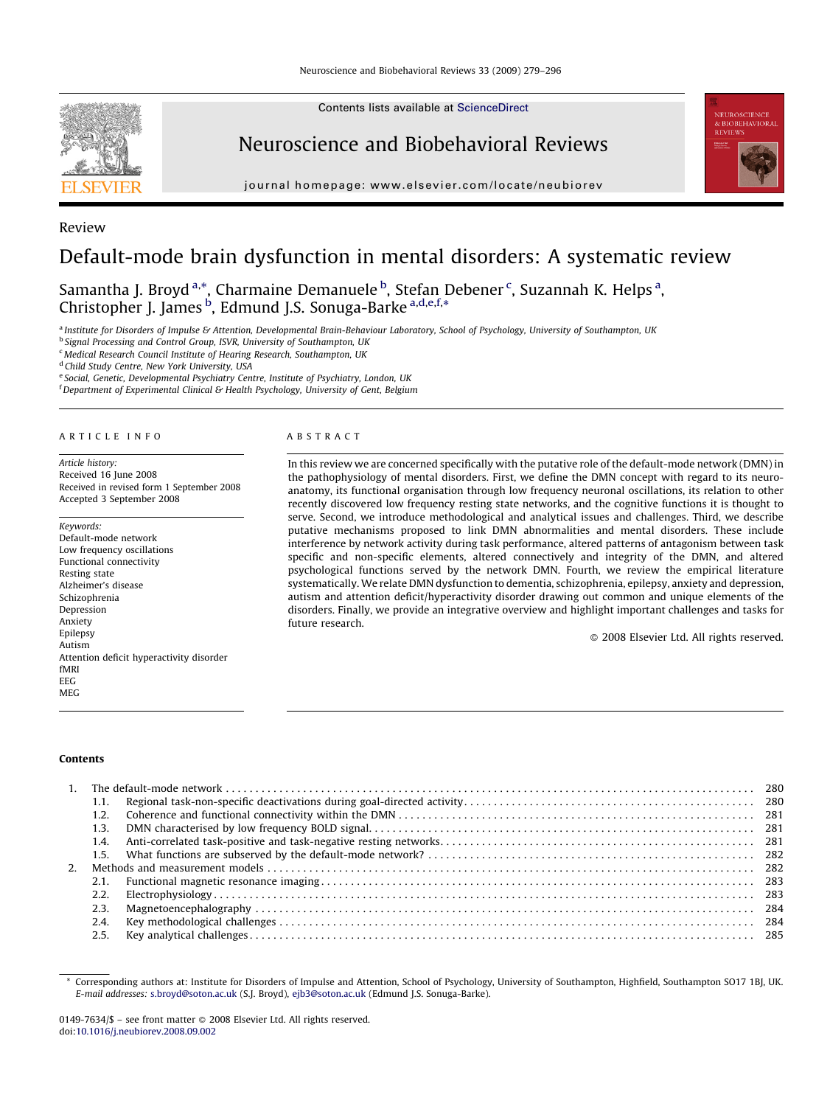

Contents lists available at [ScienceDirect](http://www.sciencedirect.com/science/journal/01497634)

# Neuroscience and Biobehavioral Reviews



journal homepage: www.elsevier.com/locate/neubiorev

# Review

# Default-mode brain dysfunction in mental disorders: A systematic review

Samantha J. Broyd <sup>a,</sup>\*, Charmaine Demanuele <sup>b</sup>, Stefan Debener <sup>c</sup>, Suzannah K. Helps <sup>a</sup>, Christopher J. James <sup>b</sup>, Edmund J.S. Sonuga-Barke a,d,e,f,\*

a Institute for Disorders of Impulse & Attention, Developmental Brain-Behaviour Laboratory, School of Psychology, University of Southampton, UK

**b Signal Processing and Control Group, ISVR, University of Southampton, UK** 

<sup>c</sup> Medical Research Council Institute of Hearing Research, Southampton, UK

<sup>d</sup> Child Study Centre, New York University, USA

<sup>e</sup> Social, Genetic, Developmental Psychiatry Centre, Institute of Psychiatry, London, UK

<sup>f</sup> Department of Experimental Clinical & Health Psychology, University of Gent, Belgium

#### ARTICLE INFO

Article history: Received 16 June 2008 Received in revised form 1 September 2008 Accepted 3 September 2008

Keywords: Default-mode network Low frequency oscillations Functional connectivity Resting state Alzheimer's disease Schizophrenia Depression Anxiety Epilepsy Autism Attention deficit hyperactivity disorder fMRI EEG MEG

### ABSTRACT

In this review we are concerned specifically with the putative role of the default-mode network (DMN) in the pathophysiology of mental disorders. First, we define the DMN concept with regard to its neuroanatomy, its functional organisation through low frequency neuronal oscillations, its relation to other recently discovered low frequency resting state networks, and the cognitive functions it is thought to serve. Second, we introduce methodological and analytical issues and challenges. Third, we describe putative mechanisms proposed to link DMN abnormalities and mental disorders. These include interference by network activity during task performance, altered patterns of antagonism between task specific and non-specific elements, altered connectively and integrity of the DMN, and altered psychological functions served by the network DMN. Fourth, we review the empirical literature systematically. We relate DMN dysfunction to dementia, schizophrenia, epilepsy, anxiety and depression, autism and attention deficit/hyperactivity disorder drawing out common and unique elements of the disorders. Finally, we provide an integrative overview and highlight important challenges and tasks for future research.

- 2008 Elsevier Ltd. All rights reserved.

# Contents

| 1.2. |  |  |  |  |  |  |
|------|--|--|--|--|--|--|
| 1.3. |  |  |  |  |  |  |
| 1.4. |  |  |  |  |  |  |
|      |  |  |  |  |  |  |
|      |  |  |  |  |  |  |
| 2.1. |  |  |  |  |  |  |
| 2.2. |  |  |  |  |  |  |
| 2.3. |  |  |  |  |  |  |
| 2.4. |  |  |  |  |  |  |
|      |  |  |  |  |  |  |

<sup>\*</sup> Corresponding authors at: Institute for Disorders of Impulse and Attention, School of Psychology, University of Southampton, Highfield, Southampton SO17 1BJ, UK. E-mail addresses: [s.broyd@soton.ac.uk](mailto:s.broyd@soton.ac.uk) (S.J. Broyd), [ejb3@soton.ac.uk](mailto:ejb3@soton.ac.uk) (Edmund J.S. Sonuga-Barke).

<sup>0149-7634/\$ –</sup> see front matter © 2008 Elsevier Ltd. All rights reserved. doi:[10.1016/j.neubiorev.2008.09.002](http://dx.doi.org/10.1016/j.neubiorev.2008.09.002)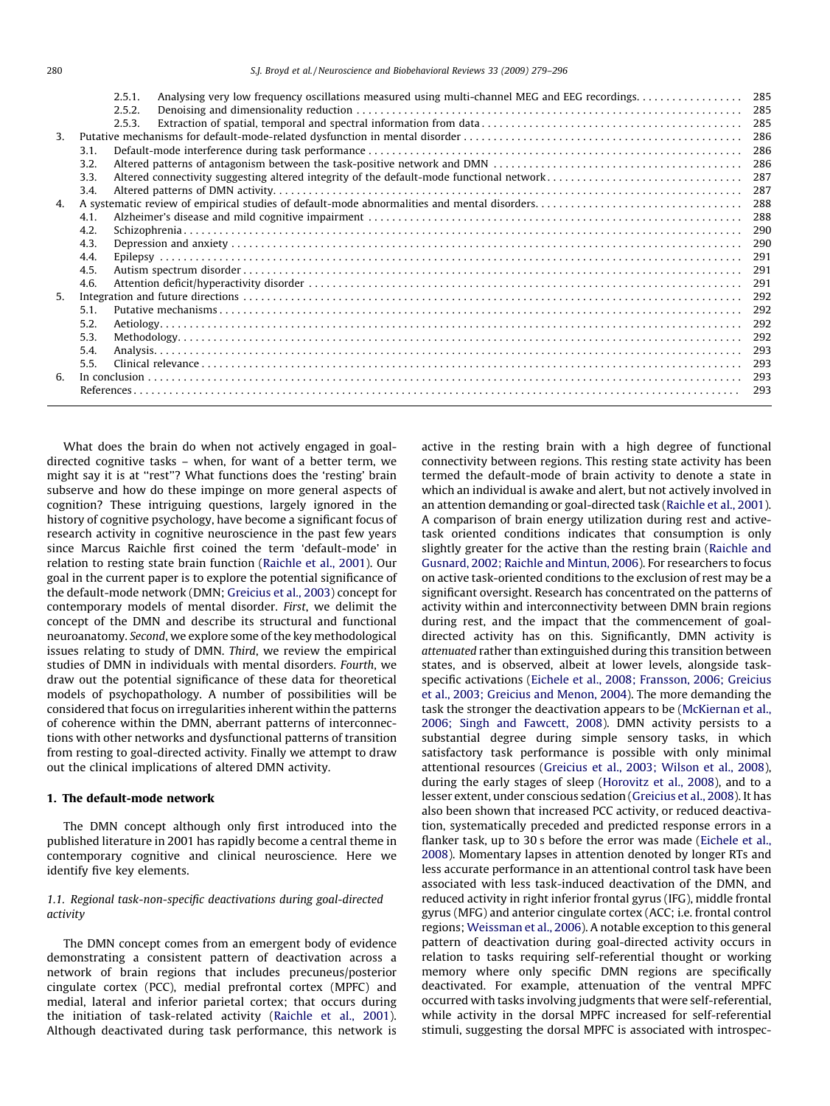|                  |      | Analysing very low frequency oscillations measured using multi-channel MEG and EEG recordings<br>2.5.1. | 285 |  |  |  |  |  |
|------------------|------|---------------------------------------------------------------------------------------------------------|-----|--|--|--|--|--|
|                  |      | 2.5.2.                                                                                                  | 285 |  |  |  |  |  |
|                  |      | 2.5.3.                                                                                                  | 285 |  |  |  |  |  |
| 3 <sub>1</sub>   |      |                                                                                                         |     |  |  |  |  |  |
|                  | 3.1. | 286                                                                                                     |     |  |  |  |  |  |
|                  | 3.2. | 286                                                                                                     |     |  |  |  |  |  |
|                  | 3.3. | Altered connectivity suggesting altered integrity of the default-mode functional network<br>287         |     |  |  |  |  |  |
|                  | 3.4. | 287                                                                                                     |     |  |  |  |  |  |
| $\overline{4}$ . |      |                                                                                                         |     |  |  |  |  |  |
|                  | 4.1. |                                                                                                         | 288 |  |  |  |  |  |
|                  | 4.2. |                                                                                                         | 290 |  |  |  |  |  |
|                  | 4.3. |                                                                                                         | 290 |  |  |  |  |  |
|                  | 4.4. |                                                                                                         | 291 |  |  |  |  |  |
|                  | 4.5. |                                                                                                         | 291 |  |  |  |  |  |
|                  | 4.6. |                                                                                                         | 291 |  |  |  |  |  |
| 5 <sub>1</sub>   |      |                                                                                                         |     |  |  |  |  |  |
|                  | 5.1. |                                                                                                         | 292 |  |  |  |  |  |
|                  | 5.2. |                                                                                                         | 292 |  |  |  |  |  |
|                  | 5.3. |                                                                                                         | 292 |  |  |  |  |  |
|                  | 5.4. |                                                                                                         | 293 |  |  |  |  |  |
|                  | 5.5. |                                                                                                         | 293 |  |  |  |  |  |
| 6.               |      |                                                                                                         | 293 |  |  |  |  |  |
|                  |      |                                                                                                         | 293 |  |  |  |  |  |

What does the brain do when not actively engaged in goaldirected cognitive tasks – when, for want of a better term, we might say it is at ''rest''? What functions does the 'resting' brain subserve and how do these impinge on more general aspects of cognition? These intriguing questions, largely ignored in the history of cognitive psychology, have become a significant focus of research activity in cognitive neuroscience in the past few years since Marcus Raichle first coined the term 'default-mode' in relation to resting state brain function ([Raichle et al., 2001\)](#page-16-0). Our goal in the current paper is to explore the potential significance of the default-mode network (DMN; [Greicius et al., 2003](#page-15-0)) concept for contemporary models of mental disorder. First, we delimit the concept of the DMN and describe its structural and functional neuroanatomy. Second, we explore some of the key methodological issues relating to study of DMN. Third, we review the empirical studies of DMN in individuals with mental disorders. Fourth, we draw out the potential significance of these data for theoretical models of psychopathology. A number of possibilities will be considered that focus on irregularities inherent within the patterns of coherence within the DMN, aberrant patterns of interconnections with other networks and dysfunctional patterns of transition from resting to goal-directed activity. Finally we attempt to draw out the clinical implications of altered DMN activity.

# 1. The default-mode network

The DMN concept although only first introduced into the published literature in 2001 has rapidly become a central theme in contemporary cognitive and clinical neuroscience. Here we identify five key elements.

# 1.1. Regional task-non-specific deactivations during goal-directed activity

The DMN concept comes from an emergent body of evidence demonstrating a consistent pattern of deactivation across a network of brain regions that includes precuneus/posterior cingulate cortex (PCC), medial prefrontal cortex (MPFC) and medial, lateral and inferior parietal cortex; that occurs during the initiation of task-related activity ([Raichle et al., 2001\)](#page-16-0). Although deactivated during task performance, this network is active in the resting brain with a high degree of functional connectivity between regions. This resting state activity has been termed the default-mode of brain activity to denote a state in which an individual is awake and alert, but not actively involved in an attention demanding or goal-directed task [\(Raichle et al., 2001\)](#page-16-0). A comparison of brain energy utilization during rest and activetask oriented conditions indicates that consumption is only slightly greater for the active than the resting brain [\(Raichle and](#page-16-0) [Gusnard, 2002; Raichle and Mintun, 2006](#page-16-0)). For researchers to focus on active task-oriented conditions to the exclusion of rest may be a significant oversight. Research has concentrated on the patterns of activity within and interconnectivity between DMN brain regions during rest, and the impact that the commencement of goaldirected activity has on this. Significantly, DMN activity is attenuated rather than extinguished during this transition between states, and is observed, albeit at lower levels, alongside taskspecific activations [\(Eichele et al., 2008; Fransson, 2006; Greicius](#page-15-0) [et al., 2003; Greicius and Menon, 2004\)](#page-15-0). The more demanding the task the stronger the deactivation appears to be ([McKiernan et al.,](#page-16-0) [2006; Singh and Fawcett, 2008\)](#page-16-0). DMN activity persists to a substantial degree during simple sensory tasks, in which satisfactory task performance is possible with only minimal attentional resources ([Greicius et al., 2003; Wilson et al., 2008\)](#page-15-0), during the early stages of sleep ([Horovitz et al., 2008\)](#page-15-0), and to a lesser extent, under conscious sedation ([Greicius et al., 2008\)](#page-15-0). It has also been shown that increased PCC activity, or reduced deactivation, systematically preceded and predicted response errors in a flanker task, up to 30 s before the error was made ([Eichele et al.,](#page-15-0) [2008\)](#page-15-0). Momentary lapses in attention denoted by longer RTs and less accurate performance in an attentional control task have been associated with less task-induced deactivation of the DMN, and reduced activity in right inferior frontal gyrus (IFG), middle frontal gyrus (MFG) and anterior cingulate cortex (ACC; i.e. frontal control regions; [Weissman et al., 2006](#page-17-0)). A notable exception to this general pattern of deactivation during goal-directed activity occurs in relation to tasks requiring self-referential thought or working memory where only specific DMN regions are specifically deactivated. For example, attenuation of the ventral MPFC occurred with tasks involving judgments that were self-referential, while activity in the dorsal MPFC increased for self-referential stimuli, suggesting the dorsal MPFC is associated with introspec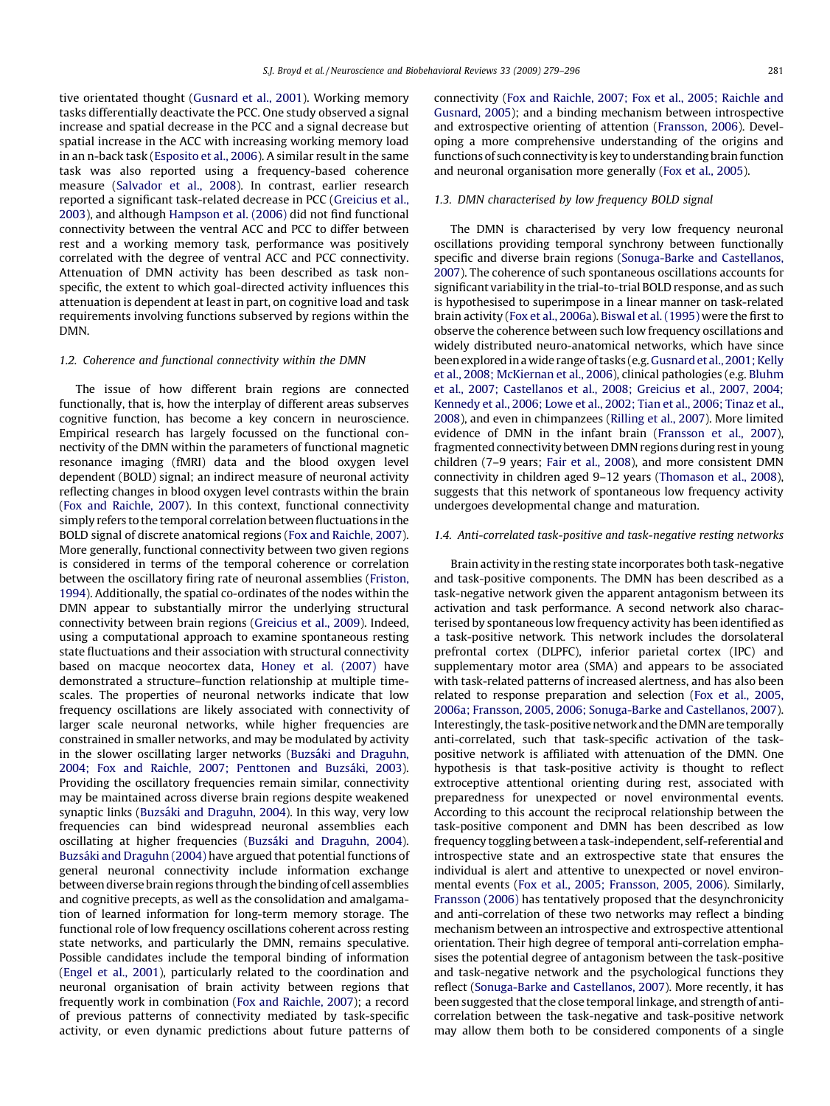tive orientated thought ([Gusnard et al., 2001](#page-15-0)). Working memory tasks differentially deactivate the PCC. One study observed a signal increase and spatial decrease in the PCC and a signal decrease but spatial increase in the ACC with increasing working memory load in an n-back task ([Esposito et al., 2006\)](#page-15-0). A similar result in the same task was also reported using a frequency-based coherence measure ([Salvador et al., 2008\)](#page-16-0). In contrast, earlier research reported a significant task-related decrease in PCC ([Greicius et al.,](#page-15-0) [2003\)](#page-15-0), and although [Hampson et al. \(2006\)](#page-15-0) did not find functional connectivity between the ventral ACC and PCC to differ between rest and a working memory task, performance was positively correlated with the degree of ventral ACC and PCC connectivity. Attenuation of DMN activity has been described as task nonspecific, the extent to which goal-directed activity influences this attenuation is dependent at least in part, on cognitive load and task requirements involving functions subserved by regions within the DMN.

# 1.2. Coherence and functional connectivity within the DMN

The issue of how different brain regions are connected functionally, that is, how the interplay of different areas subserves cognitive function, has become a key concern in neuroscience. Empirical research has largely focussed on the functional connectivity of the DMN within the parameters of functional magnetic resonance imaging (fMRI) data and the blood oxygen level dependent (BOLD) signal; an indirect measure of neuronal activity reflecting changes in blood oxygen level contrasts within the brain ([Fox and Raichle, 2007\)](#page-15-0). In this context, functional connectivity simply refers to the temporal correlation between fluctuations in the BOLD signal of discrete anatomical regions [\(Fox and Raichle, 2007\)](#page-15-0). More generally, functional connectivity between two given regions is considered in terms of the temporal coherence or correlation between the oscillatory firing rate of neuronal assemblies ([Friston,](#page-15-0) [1994\)](#page-15-0). Additionally, the spatial co-ordinates of the nodes within the DMN appear to substantially mirror the underlying structural connectivity between brain regions ([Greicius et al., 2009](#page-15-0)). Indeed, using a computational approach to examine spontaneous resting state fluctuations and their association with structural connectivity based on macque neocortex data, [Honey et al. \(2007\)](#page-15-0) have demonstrated a structure–function relationship at multiple timescales. The properties of neuronal networks indicate that low frequency oscillations are likely associated with connectivity of larger scale neuronal networks, while higher frequencies are constrained in smaller networks, and may be modulated by activity in the slower oscillating larger networks (Buzsáki and Draguhn, 2004; Fox and Raichle, 2007; Penttonen and Buzsáki, 2003). Providing the oscillatory frequencies remain similar, connectivity may be maintained across diverse brain regions despite weakened synaptic links (Buzsáki and Draguhn, 2004). In this way, very low frequencies can bind widespread neuronal assemblies each oscillating at higher frequencies (Buzsáki and Draguhn, 2004). Buzsáki and Draguhn (2004) have argued that potential functions of general neuronal connectivity include information exchange between diverse brain regions through the binding of cell assemblies and cognitive precepts, as well as the consolidation and amalgamation of learned information for long-term memory storage. The functional role of low frequency oscillations coherent across resting state networks, and particularly the DMN, remains speculative. Possible candidates include the temporal binding of information ([Engel et al., 2001](#page-15-0)), particularly related to the coordination and neuronal organisation of brain activity between regions that frequently work in combination [\(Fox and Raichle, 2007\)](#page-15-0); a record of previous patterns of connectivity mediated by task-specific activity, or even dynamic predictions about future patterns of

connectivity [\(Fox and Raichle, 2007; Fox et al., 2005; Raichle and](#page-15-0) [Gusnard, 2005\)](#page-15-0); and a binding mechanism between introspective and extrospective orienting of attention [\(Fransson, 2006\)](#page-15-0). Developing a more comprehensive understanding of the origins and functions of such connectivity is key to understanding brain function and neuronal organisation more generally [\(Fox et al., 2005\)](#page-15-0).

# 1.3. DMN characterised by low frequency BOLD signal

The DMN is characterised by very low frequency neuronal oscillations providing temporal synchrony between functionally specific and diverse brain regions [\(Sonuga-Barke and Castellanos,](#page-16-0) [2007](#page-16-0)). The coherence of such spontaneous oscillations accounts for significant variability in the trial-to-trial BOLD response, and as such is hypothesised to superimpose in a linear manner on task-related brain activity ([Fox et al., 2006a\)](#page-15-0). [Biswal et al. \(1995\)](#page-14-0) were the first to observe the coherence between such low frequency oscillations and widely distributed neuro-anatomical networks, which have since been explored in a wide range of tasks (e.g. [Gusnard et al., 2001; Kelly](#page-15-0) [et al., 2008; McKiernan et al., 2006\)](#page-15-0), clinical pathologies (e.g. [Bluhm](#page-14-0) [et al., 2007; Castellanos et al., 2008; Greicius et al., 2007, 2004;](#page-14-0) [Kennedy et al., 2006; Lowe et al., 2002; Tian et al., 2006; Tinaz et al.,](#page-14-0) [2008](#page-14-0)), and even in chimpanzees [\(Rilling et al., 2007](#page-16-0)). More limited evidence of DMN in the infant brain [\(Fransson et al., 2007\)](#page-15-0), fragmented connectivity between DMN regions during rest in young children (7–9 years; [Fair et al., 2008\)](#page-15-0), and more consistent DMN connectivity in children aged 9–12 years [\(Thomason et al., 2008\)](#page-17-0), suggests that this network of spontaneous low frequency activity undergoes developmental change and maturation.

# 1.4. Anti-correlated task-positive and task-negative resting networks

Brain activity in the resting state incorporates both task-negative and task-positive components. The DMN has been described as a task-negative network given the apparent antagonism between its activation and task performance. A second network also characterised by spontaneous low frequency activity has been identified as a task-positive network. This network includes the dorsolateral prefrontal cortex (DLPFC), inferior parietal cortex (IPC) and supplementary motor area (SMA) and appears to be associated with task-related patterns of increased alertness, and has also been related to response preparation and selection [\(Fox et al., 2005,](#page-15-0) [2006a; Fransson, 2005, 2006; Sonuga-Barke and Castellanos, 2007\)](#page-15-0). Interestingly, the task-positive network and the DMN are temporally anti-correlated, such that task-specific activation of the taskpositive network is affiliated with attenuation of the DMN. One hypothesis is that task-positive activity is thought to reflect extroceptive attentional orienting during rest, associated with preparedness for unexpected or novel environmental events. According to this account the reciprocal relationship between the task-positive component and DMN has been described as low frequency toggling between a task-independent, self-referential and introspective state and an extrospective state that ensures the individual is alert and attentive to unexpected or novel environmental events [\(Fox et al., 2005; Fransson, 2005, 2006\)](#page-15-0). Similarly, [Fransson \(2006\)](#page-15-0) has tentatively proposed that the desynchronicity and anti-correlation of these two networks may reflect a binding mechanism between an introspective and extrospective attentional orientation. Their high degree of temporal anti-correlation emphasises the potential degree of antagonism between the task-positive and task-negative network and the psychological functions they reflect ([Sonuga-Barke and Castellanos, 2007](#page-16-0)). More recently, it has been suggested that the close temporal linkage, and strength of anticorrelation between the task-negative and task-positive network may allow them both to be considered components of a single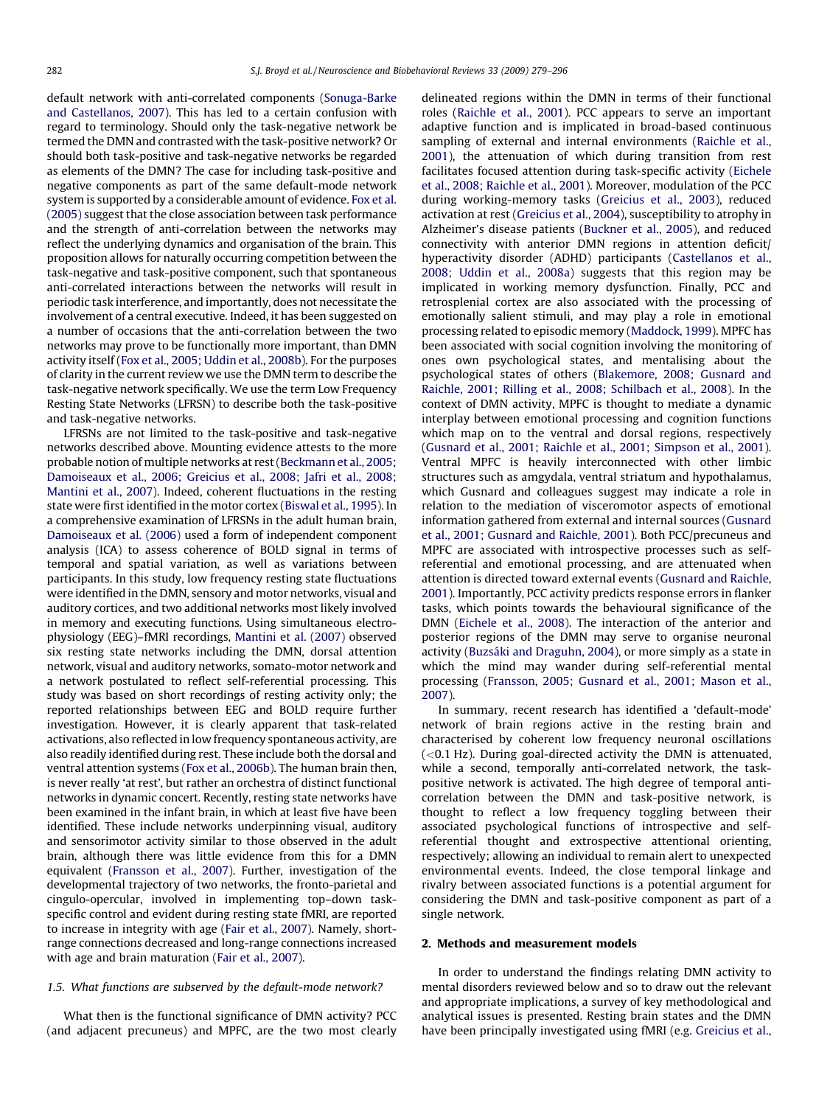<span id="page-3-0"></span>default network with anti-correlated components ([Sonuga-Barke](#page-16-0) [and Castellanos, 2007](#page-16-0)). This has led to a certain confusion with regard to terminology. Should only the task-negative network be termed the DMN and contrasted with the task-positive network? Or should both task-positive and task-negative networks be regarded as elements of the DMN? The case for including task-positive and negative components as part of the same default-mode network system is supported by a considerable amount of evidence. [Fox et al.](#page-15-0) [\(2005\)](#page-15-0) suggest that the close association between task performance and the strength of anti-correlation between the networks may reflect the underlying dynamics and organisation of the brain. This proposition allows for naturally occurring competition between the task-negative and task-positive component, such that spontaneous anti-correlated interactions between the networks will result in periodic task interference, and importantly, does not necessitate the involvement of a central executive. Indeed, it has been suggested on a number of occasions that the anti-correlation between the two networks may prove to be functionally more important, than DMN activity itself ([Fox et al., 2005; Uddin et al., 2008b](#page-15-0)). For the purposes of clarity in the current review we use the DMN term to describe the task-negative network specifically. We use the term Low Frequency Resting State Networks (LFRSN) to describe both the task-positive and task-negative networks.

LFRSNs are not limited to the task-positive and task-negative networks described above. Mounting evidence attests to the more probable notion of multiple networks at rest [\(Beckmann et al., 2005;](#page-14-0) [Damoiseaux et al., 2006; Greicius et al., 2008; Jafri et al., 2008;](#page-14-0) [Mantini et al., 2007\)](#page-14-0). Indeed, coherent fluctuations in the resting state were first identified in the motor cortex [\(Biswal et al., 1995\)](#page-14-0). In a comprehensive examination of LFRSNs in the adult human brain, [Damoiseaux et al. \(2006\)](#page-15-0) used a form of independent component analysis (ICA) to assess coherence of BOLD signal in terms of temporal and spatial variation, as well as variations between participants. In this study, low frequency resting state fluctuations were identified in the DMN, sensory and motor networks, visual and auditory cortices, and two additional networks most likely involved in memory and executing functions. Using simultaneous electrophysiology (EEG)–fMRI recordings, [Mantini et al. \(2007\)](#page-16-0) observed six resting state networks including the DMN, dorsal attention network, visual and auditory networks, somato-motor network and a network postulated to reflect self-referential processing. This study was based on short recordings of resting activity only; the reported relationships between EEG and BOLD require further investigation. However, it is clearly apparent that task-related activations, also reflected in low frequency spontaneous activity, are also readily identified during rest. These include both the dorsal and ventral attention systems ([Fox et al., 2006b\)](#page-15-0). The human brain then, is never really 'at rest', but rather an orchestra of distinct functional networks in dynamic concert. Recently, resting state networks have been examined in the infant brain, in which at least five have been identified. These include networks underpinning visual, auditory and sensorimotor activity similar to those observed in the adult brain, although there was little evidence from this for a DMN equivalent ([Fransson et al., 2007](#page-15-0)). Further, investigation of the developmental trajectory of two networks, the fronto-parietal and cingulo-opercular, involved in implementing top–down taskspecific control and evident during resting state fMRI, are reported to increase in integrity with age ([Fair et al., 2007\)](#page-15-0). Namely, shortrange connections decreased and long-range connections increased with age and brain maturation ([Fair et al., 2007\)](#page-15-0).

### 1.5. What functions are subserved by the default-mode network?

What then is the functional significance of DMN activity? PCC (and adjacent precuneus) and MPFC, are the two most clearly delineated regions within the DMN in terms of their functional roles [\(Raichle et al., 2001\)](#page-16-0). PCC appears to serve an important adaptive function and is implicated in broad-based continuous sampling of external and internal environments [\(Raichle et al.,](#page-16-0) [2001\)](#page-16-0), the attenuation of which during transition from rest facilitates focused attention during task-specific activity ([Eichele](#page-15-0) [et al., 2008; Raichle et al., 2001\)](#page-15-0). Moreover, modulation of the PCC during working-memory tasks [\(Greicius et al., 2003\)](#page-15-0), reduced activation at rest [\(Greicius et al., 2004](#page-15-0)), susceptibility to atrophy in Alzheimer's disease patients [\(Buckner et al., 2005](#page-15-0)), and reduced connectivity with anterior DMN regions in attention deficit/ hyperactivity disorder (ADHD) participants ([Castellanos et al.,](#page-15-0) [2008; Uddin et al., 2008a](#page-15-0)) suggests that this region may be implicated in working memory dysfunction. Finally, PCC and retrosplenial cortex are also associated with the processing of emotionally salient stimuli, and may play a role in emotional processing related to episodic memory ([Maddock, 1999\)](#page-16-0). MPFC has been associated with social cognition involving the monitoring of ones own psychological states, and mentalising about the psychological states of others [\(Blakemore, 2008; Gusnard and](#page-14-0) [Raichle, 2001; Rilling et al., 2008; Schilbach et al., 2008](#page-14-0)). In the context of DMN activity, MPFC is thought to mediate a dynamic interplay between emotional processing and cognition functions which map on to the ventral and dorsal regions, respectively ([Gusnard et al., 2001; Raichle et al., 2001; Simpson et al., 2001\)](#page-15-0). Ventral MPFC is heavily interconnected with other limbic structures such as amgydala, ventral striatum and hypothalamus, which Gusnard and colleagues suggest may indicate a role in relation to the mediation of visceromotor aspects of emotional information gathered from external and internal sources ([Gusnard](#page-15-0) [et al., 2001; Gusnard and Raichle, 2001](#page-15-0)). Both PCC/precuneus and MPFC are associated with introspective processes such as selfreferential and emotional processing, and are attenuated when attention is directed toward external events ([Gusnard and Raichle,](#page-15-0) [2001\)](#page-15-0). Importantly, PCC activity predicts response errors in flanker tasks, which points towards the behavioural significance of the DMN [\(Eichele et al., 2008](#page-15-0)). The interaction of the anterior and posterior regions of the DMN may serve to organise neuronal activity (Buzsáki and Draguhn, 2004), or more simply as a state in which the mind may wander during self-referential mental processing [\(Fransson, 2005; Gusnard et al., 2001; Mason et al.,](#page-15-0) [2007\)](#page-15-0).

In summary, recent research has identified a 'default-mode' network of brain regions active in the resting brain and characterised by coherent low frequency neuronal oscillations (<0.1 Hz). During goal-directed activity the DMN is attenuated, while a second, temporally anti-correlated network, the taskpositive network is activated. The high degree of temporal anticorrelation between the DMN and task-positive network, is thought to reflect a low frequency toggling between their associated psychological functions of introspective and selfreferential thought and extrospective attentional orienting, respectively; allowing an individual to remain alert to unexpected environmental events. Indeed, the close temporal linkage and rivalry between associated functions is a potential argument for considering the DMN and task-positive component as part of a single network.

## 2. Methods and measurement models

In order to understand the findings relating DMN activity to mental disorders reviewed below and so to draw out the relevant and appropriate implications, a survey of key methodological and analytical issues is presented. Resting brain states and the DMN have been principally investigated using fMRI (e.g. [Greicius et al.,](#page-15-0)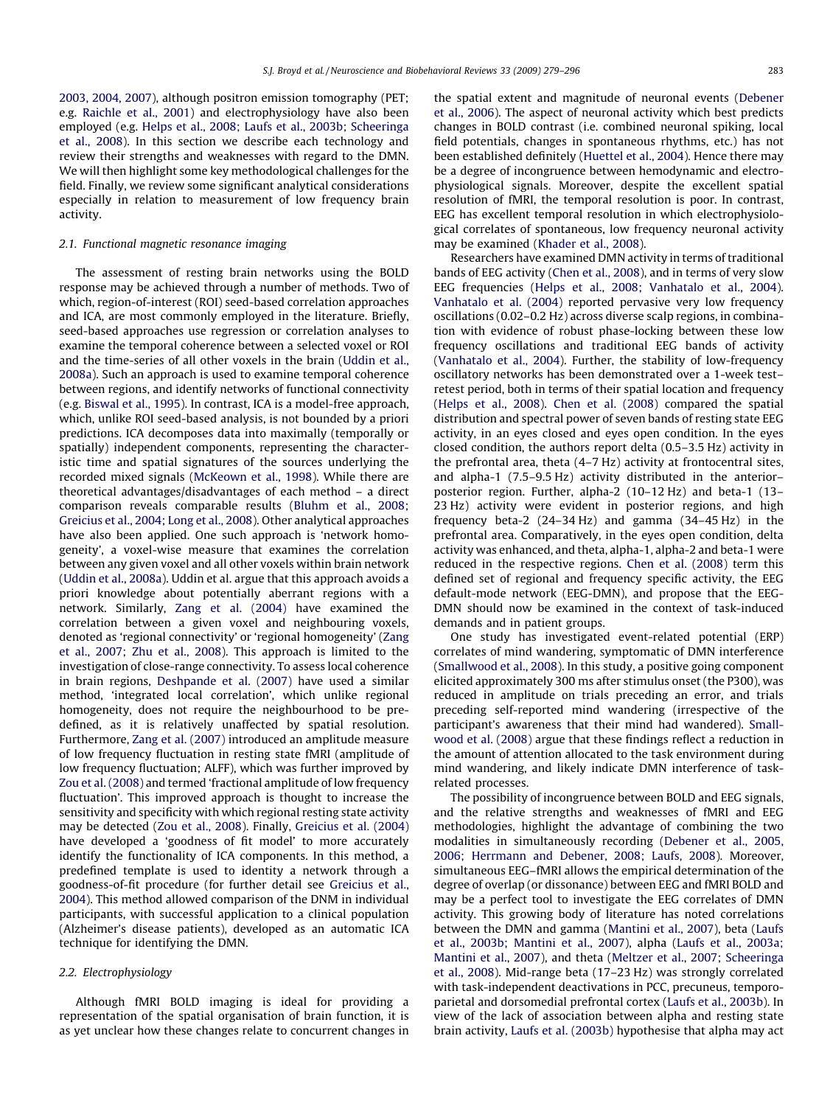[2003, 2004, 2007\)](#page-15-0), although positron emission tomography (PET; e.g. [Raichle et al., 2001](#page-16-0)) and electrophysiology have also been employed (e.g. [Helps et al., 2008; Laufs et al., 2003b; Scheeringa](#page-15-0) [et al., 2008](#page-15-0)). In this section we describe each technology and review their strengths and weaknesses with regard to the DMN. We will then highlight some key methodological challenges for the field. Finally, we review some significant analytical considerations especially in relation to measurement of low frequency brain activity.

# 2.1. Functional magnetic resonance imaging

The assessment of resting brain networks using the BOLD response may be achieved through a number of methods. Two of which, region-of-interest (ROI) seed-based correlation approaches and ICA, are most commonly employed in the literature. Briefly, seed-based approaches use regression or correlation analyses to examine the temporal coherence between a selected voxel or ROI and the time-series of all other voxels in the brain [\(Uddin et al.,](#page-17-0) [2008a\)](#page-17-0). Such an approach is used to examine temporal coherence between regions, and identify networks of functional connectivity (e.g. [Biswal et al., 1995\)](#page-14-0). In contrast, ICA is a model-free approach, which, unlike ROI seed-based analysis, is not bounded by a priori predictions. ICA decomposes data into maximally (temporally or spatially) independent components, representing the characteristic time and spatial signatures of the sources underlying the recorded mixed signals [\(McKeown et al., 1998](#page-16-0)). While there are theoretical advantages/disadvantages of each method – a direct comparison reveals comparable results ([Bluhm et al., 2008;](#page-14-0) [Greicius et al., 2004; Long et al., 2008](#page-14-0)). Other analytical approaches have also been applied. One such approach is 'network homogeneity', a voxel-wise measure that examines the correlation between any given voxel and all other voxels within brain network ([Uddin et al., 2008a](#page-17-0)). Uddin et al. argue that this approach avoids a priori knowledge about potentially aberrant regions with a network. Similarly, [Zang et al. \(2004\)](#page-17-0) have examined the correlation between a given voxel and neighbouring voxels, denoted as 'regional connectivity' or 'regional homogeneity' [\(Zang](#page-17-0) [et al., 2007; Zhu et al., 2008\)](#page-17-0). This approach is limited to the investigation of close-range connectivity. To assess local coherence in brain regions, [Deshpande et al. \(2007\)](#page-15-0) have used a similar method, 'integrated local correlation', which unlike regional homogeneity, does not require the neighbourhood to be predefined, as it is relatively unaffected by spatial resolution. Furthermore, [Zang et al. \(2007\)](#page-17-0) introduced an amplitude measure of low frequency fluctuation in resting state fMRI (amplitude of low frequency fluctuation; ALFF), which was further improved by [Zou et al. \(2008\)](#page-17-0) and termed 'fractional amplitude of low frequency fluctuation'. This improved approach is thought to increase the sensitivity and specificity with which regional resting state activity may be detected [\(Zou et al., 2008\)](#page-17-0). Finally, [Greicius et al. \(2004\)](#page-15-0) have developed a 'goodness of fit model' to more accurately identify the functionality of ICA components. In this method, a predefined template is used to identity a network through a goodness-of-fit procedure (for further detail see [Greicius et al.,](#page-15-0) [2004\)](#page-15-0). This method allowed comparison of the DNM in individual participants, with successful application to a clinical population (Alzheimer's disease patients), developed as an automatic ICA technique for identifying the DMN.

# 2.2. Electrophysiology

Although fMRI BOLD imaging is ideal for providing a representation of the spatial organisation of brain function, it is as yet unclear how these changes relate to concurrent changes in the spatial extent and magnitude of neuronal events [\(Debener](#page-15-0) [et al., 2006\)](#page-15-0). The aspect of neuronal activity which best predicts changes in BOLD contrast (i.e. combined neuronal spiking, local field potentials, changes in spontaneous rhythms, etc.) has not been established definitely ([Huettel et al., 2004\)](#page-15-0). Hence there may be a degree of incongruence between hemodynamic and electrophysiological signals. Moreover, despite the excellent spatial resolution of fMRI, the temporal resolution is poor. In contrast, EEG has excellent temporal resolution in which electrophysiological correlates of spontaneous, low frequency neuronal activity may be examined [\(Khader et al., 2008\)](#page-16-0).

Researchers have examined DMN activity in terms of traditional bands of EEG activity ([Chen et al., 2008](#page-15-0)), and in terms of very slow EEG frequencies [\(Helps et al., 2008; Vanhatalo et al., 2004\)](#page-15-0). [Vanhatalo et al. \(2004\)](#page-17-0) reported pervasive very low frequency oscillations (0.02–0.2 Hz) across diverse scalp regions, in combination with evidence of robust phase-locking between these low frequency oscillations and traditional EEG bands of activity ([Vanhatalo et al., 2004\)](#page-17-0). Further, the stability of low-frequency oscillatory networks has been demonstrated over a 1-week test– retest period, both in terms of their spatial location and frequency ([Helps et al., 2008\)](#page-15-0). [Chen et al. \(2008\)](#page-15-0) compared the spatial distribution and spectral power of seven bands of resting state EEG activity, in an eyes closed and eyes open condition. In the eyes closed condition, the authors report delta (0.5–3.5 Hz) activity in the prefrontal area, theta (4–7 Hz) activity at frontocentral sites, and alpha-1 (7.5–9.5 Hz) activity distributed in the anterior– posterior region. Further, alpha-2 (10–12 Hz) and beta-1 (13– 23 Hz) activity were evident in posterior regions, and high frequency beta-2 (24–34 Hz) and gamma (34–45 Hz) in the prefrontal area. Comparatively, in the eyes open condition, delta activity was enhanced, and theta, alpha-1, alpha-2 and beta-1 were reduced in the respective regions. [Chen et al. \(2008\)](#page-15-0) term this defined set of regional and frequency specific activity, the EEG default-mode network (EEG-DMN), and propose that the EEG-DMN should now be examined in the context of task-induced demands and in patient groups.

One study has investigated event-related potential (ERP) correlates of mind wandering, symptomatic of DMN interference ([Smallwood et al., 2008](#page-16-0)). In this study, a positive going component elicited approximately 300 ms after stimulus onset (the P300), was reduced in amplitude on trials preceding an error, and trials preceding self-reported mind wandering (irrespective of the participant's awareness that their mind had wandered). [Small](#page-16-0)[wood et al. \(2008\)](#page-16-0) argue that these findings reflect a reduction in the amount of attention allocated to the task environment during mind wandering, and likely indicate DMN interference of taskrelated processes.

The possibility of incongruence between BOLD and EEG signals, and the relative strengths and weaknesses of fMRI and EEG methodologies, highlight the advantage of combining the two modalities in simultaneously recording ([Debener et al., 2005,](#page-15-0) [2006; Herrmann and Debener, 2008; Laufs, 2008\)](#page-15-0). Moreover, simultaneous EEG–fMRI allows the empirical determination of the degree of overlap (or dissonance) between EEG and fMRI BOLD and may be a perfect tool to investigate the EEG correlates of DMN activity. This growing body of literature has noted correlations between the DMN and gamma ([Mantini et al., 2007](#page-16-0)), beta ([Laufs](#page-16-0) [et al., 2003b; Mantini et al., 2007\)](#page-16-0), alpha ([Laufs et al., 2003a;](#page-16-0) [Mantini et al., 2007](#page-16-0)), and theta [\(Meltzer et al., 2007; Scheeringa](#page-16-0) [et al., 2008\)](#page-16-0). Mid-range beta (17–23 Hz) was strongly correlated with task-independent deactivations in PCC, precuneus, temporoparietal and dorsomedial prefrontal cortex [\(Laufs et al., 2003b\)](#page-16-0). In view of the lack of association between alpha and resting state brain activity, [Laufs et al. \(2003b\)](#page-16-0) hypothesise that alpha may act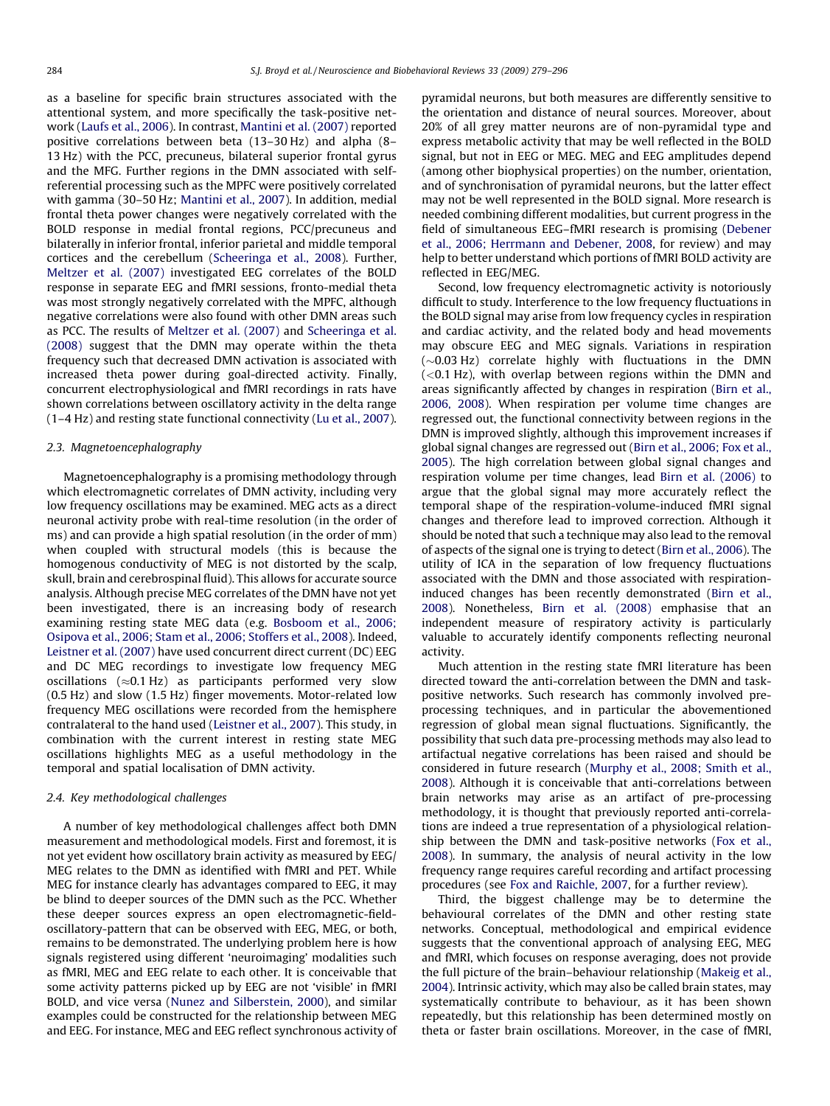as a baseline for specific brain structures associated with the attentional system, and more specifically the task-positive network [\(Laufs et al., 2006](#page-16-0)). In contrast, [Mantini et al. \(2007\)](#page-16-0) reported positive correlations between beta (13–30 Hz) and alpha (8– 13 Hz) with the PCC, precuneus, bilateral superior frontal gyrus and the MFG. Further regions in the DMN associated with selfreferential processing such as the MPFC were positively correlated with gamma (30–50 Hz; [Mantini et al., 2007\)](#page-16-0). In addition, medial frontal theta power changes were negatively correlated with the BOLD response in medial frontal regions, PCC/precuneus and bilaterally in inferior frontal, inferior parietal and middle temporal cortices and the cerebellum [\(Scheeringa et al., 2008](#page-16-0)). Further, [Meltzer et al. \(2007\)](#page-16-0) investigated EEG correlates of the BOLD response in separate EEG and fMRI sessions, fronto-medial theta was most strongly negatively correlated with the MPFC, although negative correlations were also found with other DMN areas such as PCC. The results of [Meltzer et al. \(2007\)](#page-16-0) and [Scheeringa et al.](#page-16-0) [\(2008\)](#page-16-0) suggest that the DMN may operate within the theta frequency such that decreased DMN activation is associated with increased theta power during goal-directed activity. Finally, concurrent electrophysiological and fMRI recordings in rats have shown correlations between oscillatory activity in the delta range (1–4 Hz) and resting state functional connectivity [\(Lu et al., 2007\)](#page-16-0).

#### 2.3. Magnetoencephalography

Magnetoencephalography is a promising methodology through which electromagnetic correlates of DMN activity, including very low frequency oscillations may be examined. MEG acts as a direct neuronal activity probe with real-time resolution (in the order of ms) and can provide a high spatial resolution (in the order of mm) when coupled with structural models (this is because the homogenous conductivity of MEG is not distorted by the scalp, skull, brain and cerebrospinal fluid). This allows for accurate source analysis. Although precise MEG correlates of the DMN have not yet been investigated, there is an increasing body of research examining resting state MEG data (e.g. [Bosboom et al., 2006;](#page-15-0) [Osipova et al., 2006; Stam et al., 2006; Stoffers et al., 2008](#page-15-0)). Indeed, [Leistner et al. \(2007\)](#page-16-0) have used concurrent direct current (DC) EEG and DC MEG recordings to investigate low frequency MEG oscillations ( $\approx$ 0.1 Hz) as participants performed very slow (0.5 Hz) and slow (1.5 Hz) finger movements. Motor-related low frequency MEG oscillations were recorded from the hemisphere contralateral to the hand used [\(Leistner et al., 2007](#page-16-0)). This study, in combination with the current interest in resting state MEG oscillations highlights MEG as a useful methodology in the temporal and spatial localisation of DMN activity.

### 2.4. Key methodological challenges

A number of key methodological challenges affect both DMN measurement and methodological models. First and foremost, it is not yet evident how oscillatory brain activity as measured by EEG/ MEG relates to the DMN as identified with fMRI and PET. While MEG for instance clearly has advantages compared to EEG, it may be blind to deeper sources of the DMN such as the PCC. Whether these deeper sources express an open electromagnetic-fieldoscillatory-pattern that can be observed with EEG, MEG, or both, remains to be demonstrated. The underlying problem here is how signals registered using different 'neuroimaging' modalities such as fMRI, MEG and EEG relate to each other. It is conceivable that some activity patterns picked up by EEG are not 'visible' in fMRI BOLD, and vice versa ([Nunez and Silberstein, 2000](#page-16-0)), and similar examples could be constructed for the relationship between MEG and EEG. For instance, MEG and EEG reflect synchronous activity of pyramidal neurons, but both measures are differently sensitive to the orientation and distance of neural sources. Moreover, about 20% of all grey matter neurons are of non-pyramidal type and express metabolic activity that may be well reflected in the BOLD signal, but not in EEG or MEG. MEG and EEG amplitudes depend (among other biophysical properties) on the number, orientation, and of synchronisation of pyramidal neurons, but the latter effect may not be well represented in the BOLD signal. More research is needed combining different modalities, but current progress in the field of simultaneous EEG–fMRI research is promising ([Debener](#page-15-0) [et al., 2006; Herrmann and Debener, 2008,](#page-15-0) for review) and may help to better understand which portions of fMRI BOLD activity are reflected in EEG/MEG.

Second, low frequency electromagnetic activity is notoriously difficult to study. Interference to the low frequency fluctuations in the BOLD signal may arise from low frequency cycles in respiration and cardiac activity, and the related body and head movements may obscure EEG and MEG signals. Variations in respiration  $(\sim 0.03$  Hz) correlate highly with fluctuations in the DMN (<0.1 Hz), with overlap between regions within the DMN and areas significantly affected by changes in respiration ([Birn et al.,](#page-14-0) [2006, 2008\)](#page-14-0). When respiration per volume time changes are regressed out, the functional connectivity between regions in the DMN is improved slightly, although this improvement increases if global signal changes are regressed out ([Birn et al., 2006; Fox et al.,](#page-14-0) [2005\)](#page-14-0). The high correlation between global signal changes and respiration volume per time changes, lead [Birn et al. \(2006\)](#page-14-0) to argue that the global signal may more accurately reflect the temporal shape of the respiration-volume-induced fMRI signal changes and therefore lead to improved correction. Although it should be noted that such a technique may also lead to the removal of aspects of the signal one is trying to detect ([Birn et al., 2006](#page-14-0)). The utility of ICA in the separation of low frequency fluctuations associated with the DMN and those associated with respirationinduced changes has been recently demonstrated ([Birn et al.,](#page-14-0) [2008\)](#page-14-0). Nonetheless, [Birn et al. \(2008\)](#page-14-0) emphasise that an independent measure of respiratory activity is particularly valuable to accurately identify components reflecting neuronal activity.

Much attention in the resting state fMRI literature has been directed toward the anti-correlation between the DMN and taskpositive networks. Such research has commonly involved preprocessing techniques, and in particular the abovementioned regression of global mean signal fluctuations. Significantly, the possibility that such data pre-processing methods may also lead to artifactual negative correlations has been raised and should be considered in future research [\(Murphy et al., 2008; Smith et al.,](#page-16-0) [2008\)](#page-16-0). Although it is conceivable that anti-correlations between brain networks may arise as an artifact of pre-processing methodology, it is thought that previously reported anti-correlations are indeed a true representation of a physiological relationship between the DMN and task-positive networks [\(Fox et al.,](#page-15-0) [2008\)](#page-15-0). In summary, the analysis of neural activity in the low frequency range requires careful recording and artifact processing procedures (see [Fox and Raichle, 2007,](#page-15-0) for a further review).

Third, the biggest challenge may be to determine the behavioural correlates of the DMN and other resting state networks. Conceptual, methodological and empirical evidence suggests that the conventional approach of analysing EEG, MEG and fMRI, which focuses on response averaging, does not provide the full picture of the brain–behaviour relationship [\(Makeig et al.,](#page-16-0) [2004\)](#page-16-0). Intrinsic activity, which may also be called brain states, may systematically contribute to behaviour, as it has been shown repeatedly, but this relationship has been determined mostly on theta or faster brain oscillations. Moreover, in the case of fMRI,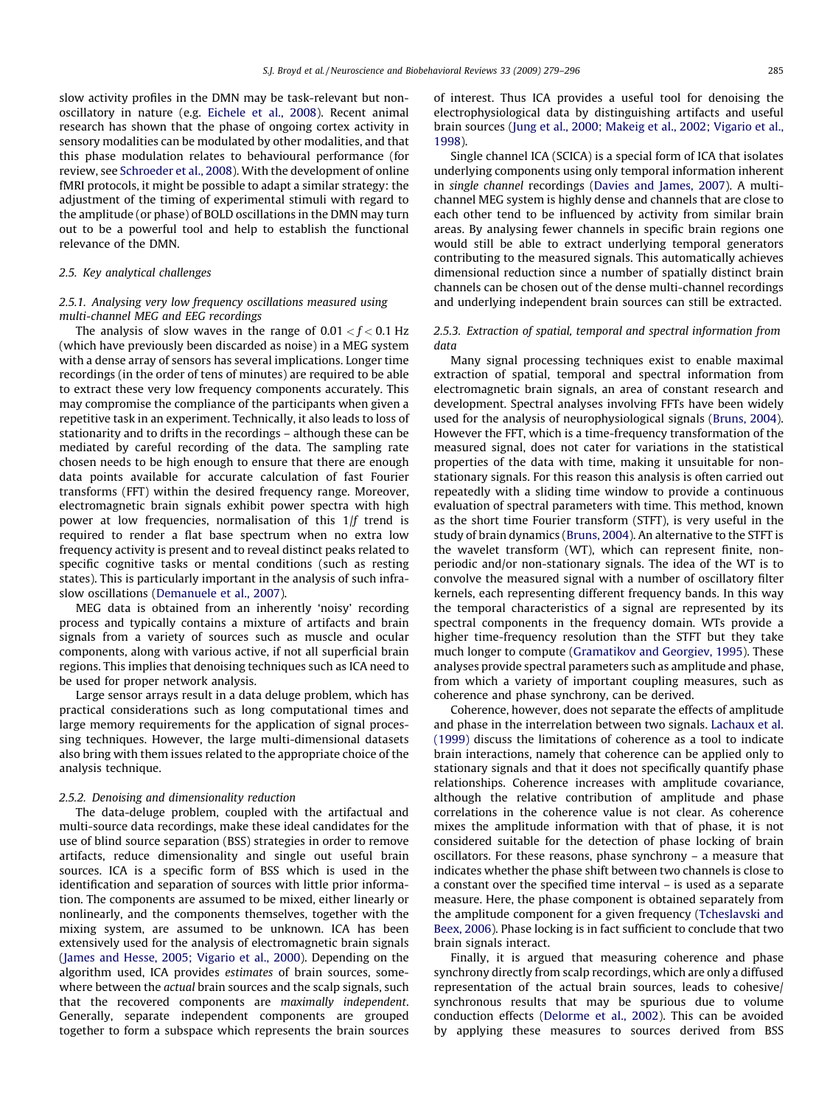slow activity profiles in the DMN may be task-relevant but nonoscillatory in nature (e.g. [Eichele et al., 2008](#page-15-0)). Recent animal research has shown that the phase of ongoing cortex activity in sensory modalities can be modulated by other modalities, and that this phase modulation relates to behavioural performance (for review, see [Schroeder et al., 2008\)](#page-16-0). With the development of online fMRI protocols, it might be possible to adapt a similar strategy: the adjustment of the timing of experimental stimuli with regard to the amplitude (or phase) of BOLD oscillations in the DMN may turn out to be a powerful tool and help to establish the functional relevance of the DMN.

# 2.5. Key analytical challenges

# 2.5.1. Analysing very low frequency oscillations measured using multi-channel MEG and EEG recordings

The analysis of slow waves in the range of  $0.01 < f < 0.1$  Hz (which have previously been discarded as noise) in a MEG system with a dense array of sensors has several implications. Longer time recordings (in the order of tens of minutes) are required to be able to extract these very low frequency components accurately. This may compromise the compliance of the participants when given a repetitive task in an experiment. Technically, it also leads to loss of stationarity and to drifts in the recordings – although these can be mediated by careful recording of the data. The sampling rate chosen needs to be high enough to ensure that there are enough data points available for accurate calculation of fast Fourier transforms (FFT) within the desired frequency range. Moreover, electromagnetic brain signals exhibit power spectra with high power at low frequencies, normalisation of this 1/f trend is required to render a flat base spectrum when no extra low frequency activity is present and to reveal distinct peaks related to specific cognitive tasks or mental conditions (such as resting states). This is particularly important in the analysis of such infraslow oscillations [\(Demanuele et al., 2007](#page-15-0)).

MEG data is obtained from an inherently 'noisy' recording process and typically contains a mixture of artifacts and brain signals from a variety of sources such as muscle and ocular components, along with various active, if not all superficial brain regions. This implies that denoising techniques such as ICA need to be used for proper network analysis.

Large sensor arrays result in a data deluge problem, which has practical considerations such as long computational times and large memory requirements for the application of signal processing techniques. However, the large multi-dimensional datasets also bring with them issues related to the appropriate choice of the analysis technique.

### 2.5.2. Denoising and dimensionality reduction

The data-deluge problem, coupled with the artifactual and multi-source data recordings, make these ideal candidates for the use of blind source separation (BSS) strategies in order to remove artifacts, reduce dimensionality and single out useful brain sources. ICA is a specific form of BSS which is used in the identification and separation of sources with little prior information. The components are assumed to be mixed, either linearly or nonlinearly, and the components themselves, together with the mixing system, are assumed to be unknown. ICA has been extensively used for the analysis of electromagnetic brain signals ([James and Hesse, 2005; Vigario et al., 2000\)](#page-15-0). Depending on the algorithm used, ICA provides estimates of brain sources, somewhere between the *actual* brain sources and the scalp signals, such that the recovered components are maximally independent. Generally, separate independent components are grouped together to form a subspace which represents the brain sources of interest. Thus ICA provides a useful tool for denoising the electrophysiological data by distinguishing artifacts and useful brain sources [\(Jung et al., 2000; Makeig et al., 2002; Vigario et al.,](#page-15-0) [1998\)](#page-15-0).

Single channel ICA (SCICA) is a special form of ICA that isolates underlying components using only temporal information inherent in single channel recordings [\(Davies and James, 2007\)](#page-15-0). A multichannel MEG system is highly dense and channels that are close to each other tend to be influenced by activity from similar brain areas. By analysing fewer channels in specific brain regions one would still be able to extract underlying temporal generators contributing to the measured signals. This automatically achieves dimensional reduction since a number of spatially distinct brain channels can be chosen out of the dense multi-channel recordings and underlying independent brain sources can still be extracted.

# 2.5.3. Extraction of spatial, temporal and spectral information from data

Many signal processing techniques exist to enable maximal extraction of spatial, temporal and spectral information from electromagnetic brain signals, an area of constant research and development. Spectral analyses involving FFTs have been widely used for the analysis of neurophysiological signals ([Bruns, 2004\)](#page-15-0). However the FFT, which is a time-frequency transformation of the measured signal, does not cater for variations in the statistical properties of the data with time, making it unsuitable for nonstationary signals. For this reason this analysis is often carried out repeatedly with a sliding time window to provide a continuous evaluation of spectral parameters with time. This method, known as the short time Fourier transform (STFT), is very useful in the study of brain dynamics ([Bruns, 2004\)](#page-15-0). An alternative to the STFT is the wavelet transform (WT), which can represent finite, nonperiodic and/or non-stationary signals. The idea of the WT is to convolve the measured signal with a number of oscillatory filter kernels, each representing different frequency bands. In this way the temporal characteristics of a signal are represented by its spectral components in the frequency domain. WTs provide a higher time-frequency resolution than the STFT but they take much longer to compute ([Gramatikov and Georgiev, 1995](#page-15-0)). These analyses provide spectral parameters such as amplitude and phase, from which a variety of important coupling measures, such as coherence and phase synchrony, can be derived.

Coherence, however, does not separate the effects of amplitude and phase in the interrelation between two signals. [Lachaux et al.](#page-16-0) [\(1999\)](#page-16-0) discuss the limitations of coherence as a tool to indicate brain interactions, namely that coherence can be applied only to stationary signals and that it does not specifically quantify phase relationships. Coherence increases with amplitude covariance, although the relative contribution of amplitude and phase correlations in the coherence value is not clear. As coherence mixes the amplitude information with that of phase, it is not considered suitable for the detection of phase locking of brain oscillators. For these reasons, phase synchrony – a measure that indicates whether the phase shift between two channels is close to a constant over the specified time interval – is used as a separate measure. Here, the phase component is obtained separately from the amplitude component for a given frequency ([Tcheslavski and](#page-17-0) [Beex, 2006\)](#page-17-0). Phase locking is in fact sufficient to conclude that two brain signals interact.

Finally, it is argued that measuring coherence and phase synchrony directly from scalp recordings, which are only a diffused representation of the actual brain sources, leads to cohesive/ synchronous results that may be spurious due to volume conduction effects ([Delorme et al., 2002\)](#page-15-0). This can be avoided by applying these measures to sources derived from BSS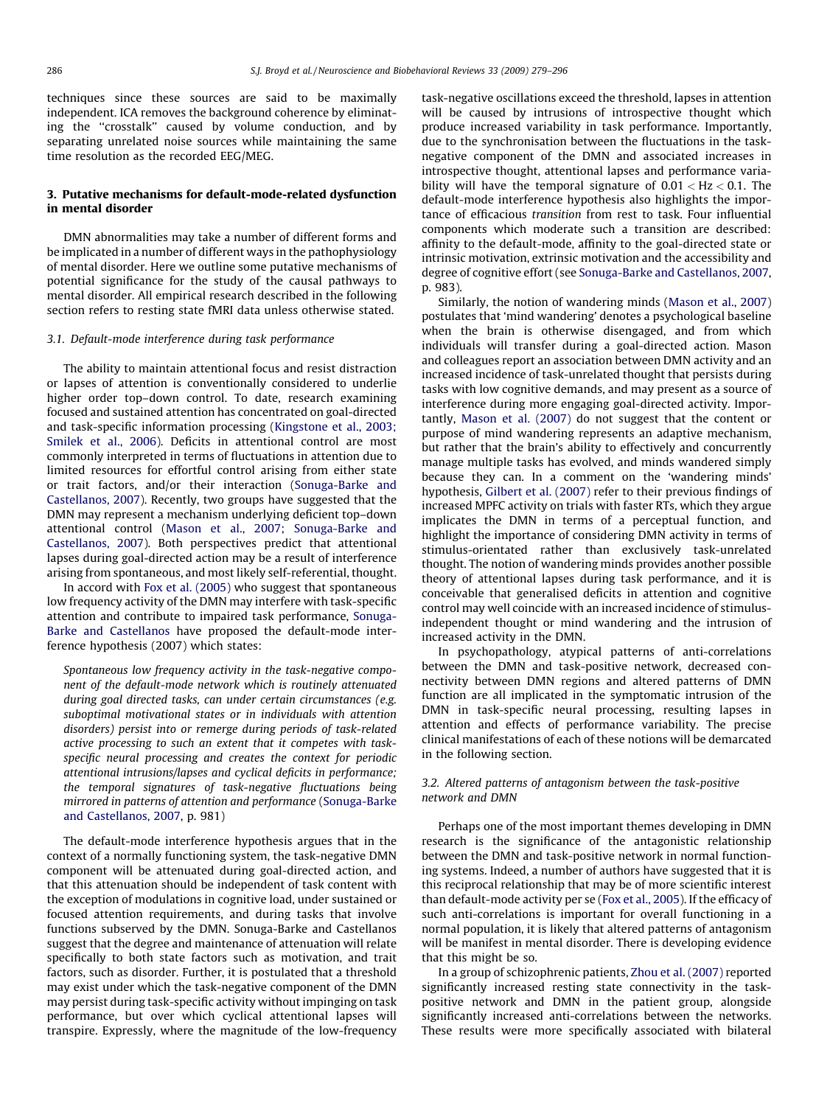<span id="page-7-0"></span>techniques since these sources are said to be maximally independent. ICA removes the background coherence by eliminating the ''crosstalk'' caused by volume conduction, and by separating unrelated noise sources while maintaining the same time resolution as the recorded EEG/MEG.

# 3. Putative mechanisms for default-mode-related dysfunction in mental disorder

DMN abnormalities may take a number of different forms and be implicated in a number of different ways in the pathophysiology of mental disorder. Here we outline some putative mechanisms of potential significance for the study of the causal pathways to mental disorder. All empirical research described in the following section refers to resting state fMRI data unless otherwise stated.

## 3.1. Default-mode interference during task performance

The ability to maintain attentional focus and resist distraction or lapses of attention is conventionally considered to underlie higher order top–down control. To date, research examining focused and sustained attention has concentrated on goal-directed and task-specific information processing [\(Kingstone et al., 2003;](#page-16-0) [Smilek et al., 2006](#page-16-0)). Deficits in attentional control are most commonly interpreted in terms of fluctuations in attention due to limited resources for effortful control arising from either state or trait factors, and/or their interaction ([Sonuga-Barke and](#page-16-0) [Castellanos, 2007\)](#page-16-0). Recently, two groups have suggested that the DMN may represent a mechanism underlying deficient top–down attentional control [\(Mason et al., 2007; Sonuga-Barke and](#page-16-0) [Castellanos, 2007](#page-16-0)). Both perspectives predict that attentional lapses during goal-directed action may be a result of interference arising from spontaneous, and most likely self-referential, thought.

In accord with [Fox et al. \(2005\)](#page-15-0) who suggest that spontaneous low frequency activity of the DMN may interfere with task-specific attention and contribute to impaired task performance, [Sonuga-](#page-16-0)[Barke and Castellanos](#page-16-0) have proposed the default-mode interference hypothesis (2007) which states:

Spontaneous low frequency activity in the task-negative component of the default-mode network which is routinely attenuated during goal directed tasks, can under certain circumstances (e.g. suboptimal motivational states or in individuals with attention disorders) persist into or remerge during periods of task-related active processing to such an extent that it competes with taskspecific neural processing and creates the context for periodic attentional intrusions/lapses and cyclical deficits in performance; the temporal signatures of task-negative fluctuations being mirrored in patterns of attention and performance [\(Sonuga-Barke](#page-16-0) [and Castellanos, 2007,](#page-16-0) p. 981)

The default-mode interference hypothesis argues that in the context of a normally functioning system, the task-negative DMN component will be attenuated during goal-directed action, and that this attenuation should be independent of task content with the exception of modulations in cognitive load, under sustained or focused attention requirements, and during tasks that involve functions subserved by the DMN. Sonuga-Barke and Castellanos suggest that the degree and maintenance of attenuation will relate specifically to both state factors such as motivation, and trait factors, such as disorder. Further, it is postulated that a threshold may exist under which the task-negative component of the DMN may persist during task-specific activity without impinging on task performance, but over which cyclical attentional lapses will transpire. Expressly, where the magnitude of the low-frequency

task-negative oscillations exceed the threshold, lapses in attention will be caused by intrusions of introspective thought which produce increased variability in task performance. Importantly, due to the synchronisation between the fluctuations in the tasknegative component of the DMN and associated increases in introspective thought, attentional lapses and performance variability will have the temporal signature of  $0.01 < Hz < 0.1$ . The default-mode interference hypothesis also highlights the importance of efficacious transition from rest to task. Four influential components which moderate such a transition are described: affinity to the default-mode, affinity to the goal-directed state or intrinsic motivation, extrinsic motivation and the accessibility and degree of cognitive effort (see [Sonuga-Barke and Castellanos, 2007,](#page-16-0) p. 983).

Similarly, the notion of wandering minds ([Mason et al., 2007\)](#page-16-0) postulates that 'mind wandering' denotes a psychological baseline when the brain is otherwise disengaged, and from which individuals will transfer during a goal-directed action. Mason and colleagues report an association between DMN activity and an increased incidence of task-unrelated thought that persists during tasks with low cognitive demands, and may present as a source of interference during more engaging goal-directed activity. Importantly, [Mason et al. \(2007\)](#page-16-0) do not suggest that the content or purpose of mind wandering represents an adaptive mechanism, but rather that the brain's ability to effectively and concurrently manage multiple tasks has evolved, and minds wandered simply because they can. In a comment on the 'wandering minds' hypothesis, [Gilbert et al. \(2007\)](#page-15-0) refer to their previous findings of increased MPFC activity on trials with faster RTs, which they argue implicates the DMN in terms of a perceptual function, and highlight the importance of considering DMN activity in terms of stimulus-orientated rather than exclusively task-unrelated thought. The notion of wandering minds provides another possible theory of attentional lapses during task performance, and it is conceivable that generalised deficits in attention and cognitive control may well coincide with an increased incidence of stimulusindependent thought or mind wandering and the intrusion of increased activity in the DMN.

In psychopathology, atypical patterns of anti-correlations between the DMN and task-positive network, decreased connectivity between DMN regions and altered patterns of DMN function are all implicated in the symptomatic intrusion of the DMN in task-specific neural processing, resulting lapses in attention and effects of performance variability. The precise clinical manifestations of each of these notions will be demarcated in the following section.

# 3.2. Altered patterns of antagonism between the task-positive network and DMN

Perhaps one of the most important themes developing in DMN research is the significance of the antagonistic relationship between the DMN and task-positive network in normal functioning systems. Indeed, a number of authors have suggested that it is this reciprocal relationship that may be of more scientific interest than default-mode activity per se [\(Fox et al., 2005\)](#page-15-0). If the efficacy of such anti-correlations is important for overall functioning in a normal population, it is likely that altered patterns of antagonism will be manifest in mental disorder. There is developing evidence that this might be so.

In a group of schizophrenic patients, [Zhou et al. \(2007\)](#page-17-0) reported significantly increased resting state connectivity in the taskpositive network and DMN in the patient group, alongside significantly increased anti-correlations between the networks. These results were more specifically associated with bilateral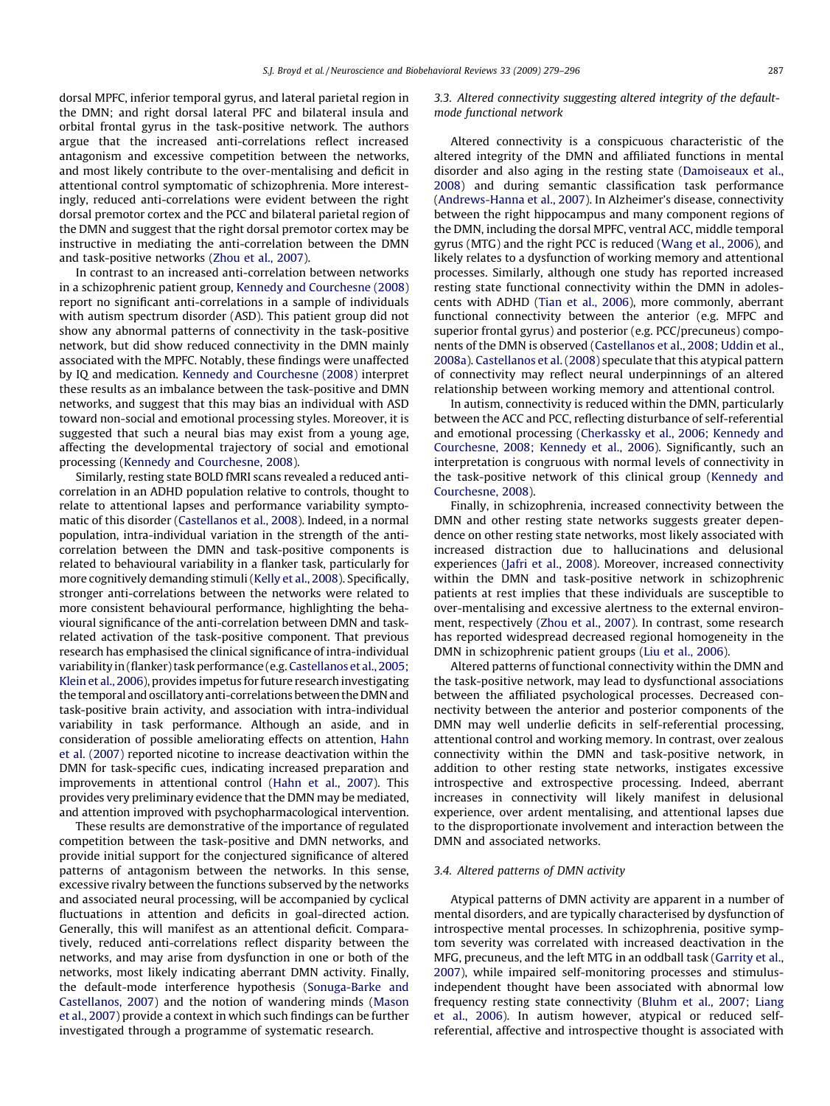dorsal MPFC, inferior temporal gyrus, and lateral parietal region in the DMN; and right dorsal lateral PFC and bilateral insula and orbital frontal gyrus in the task-positive network. The authors argue that the increased anti-correlations reflect increased antagonism and excessive competition between the networks, and most likely contribute to the over-mentalising and deficit in attentional control symptomatic of schizophrenia. More interestingly, reduced anti-correlations were evident between the right dorsal premotor cortex and the PCC and bilateral parietal region of the DMN and suggest that the right dorsal premotor cortex may be instructive in mediating the anti-correlation between the DMN and task-positive networks [\(Zhou et al., 2007\)](#page-17-0).

In contrast to an increased anti-correlation between networks in a schizophrenic patient group, [Kennedy and Courchesne \(2008\)](#page-16-0) report no significant anti-correlations in a sample of individuals with autism spectrum disorder (ASD). This patient group did not show any abnormal patterns of connectivity in the task-positive network, but did show reduced connectivity in the DMN mainly associated with the MPFC. Notably, these findings were unaffected by IQ and medication. [Kennedy and Courchesne \(2008\)](#page-16-0) interpret these results as an imbalance between the task-positive and DMN networks, and suggest that this may bias an individual with ASD toward non-social and emotional processing styles. Moreover, it is suggested that such a neural bias may exist from a young age, affecting the developmental trajectory of social and emotional processing ([Kennedy and Courchesne, 2008](#page-16-0)).

Similarly, resting state BOLD fMRI scans revealed a reduced anticorrelation in an ADHD population relative to controls, thought to relate to attentional lapses and performance variability symptomatic of this disorder [\(Castellanos et al., 2008\)](#page-15-0). Indeed, in a normal population, intra-individual variation in the strength of the anticorrelation between the DMN and task-positive components is related to behavioural variability in a flanker task, particularly for more cognitively demanding stimuli [\(Kelly et al., 2008\)](#page-16-0). Specifically, stronger anti-correlations between the networks were related to more consistent behavioural performance, highlighting the behavioural significance of the anti-correlation between DMN and taskrelated activation of the task-positive component. That previous research has emphasised the clinical significance of intra-individual variability in (flanker) task performance (e.g. [Castellanos et al., 2005;](#page-15-0) [Klein et al., 2006\)](#page-15-0), provides impetus for future research investigating the temporal and oscillatory anti-correlations between the DMN and task-positive brain activity, and association with intra-individual variability in task performance. Although an aside, and in consideration of possible ameliorating effects on attention, [Hahn](#page-15-0) [et al. \(2007\)](#page-15-0) reported nicotine to increase deactivation within the DMN for task-specific cues, indicating increased preparation and improvements in attentional control [\(Hahn et al., 2007\)](#page-15-0). This provides very preliminary evidence that the DMN may be mediated, and attention improved with psychopharmacological intervention.

These results are demonstrative of the importance of regulated competition between the task-positive and DMN networks, and provide initial support for the conjectured significance of altered patterns of antagonism between the networks. In this sense, excessive rivalry between the functions subserved by the networks and associated neural processing, will be accompanied by cyclical fluctuations in attention and deficits in goal-directed action. Generally, this will manifest as an attentional deficit. Comparatively, reduced anti-correlations reflect disparity between the networks, and may arise from dysfunction in one or both of the networks, most likely indicating aberrant DMN activity. Finally, the default-mode interference hypothesis ([Sonuga-Barke and](#page-16-0) [Castellanos, 2007\)](#page-16-0) and the notion of wandering minds [\(Mason](#page-16-0) [et al., 2007](#page-16-0)) provide a context in which such findings can be further investigated through a programme of systematic research.

# 3.3. Altered connectivity suggesting altered integrity of the defaultmode functional network

Altered connectivity is a conspicuous characteristic of the altered integrity of the DMN and affiliated functions in mental disorder and also aging in the resting state [\(Damoiseaux et al.,](#page-15-0) [2008\)](#page-15-0) and during semantic classification task performance ([Andrews-Hanna et al., 2007](#page-14-0)). In Alzheimer's disease, connectivity between the right hippocampus and many component regions of the DMN, including the dorsal MPFC, ventral ACC, middle temporal gyrus (MTG) and the right PCC is reduced ([Wang et al., 2006](#page-17-0)), and likely relates to a dysfunction of working memory and attentional processes. Similarly, although one study has reported increased resting state functional connectivity within the DMN in adolescents with ADHD ([Tian et al., 2006\)](#page-17-0), more commonly, aberrant functional connectivity between the anterior (e.g. MFPC and superior frontal gyrus) and posterior (e.g. PCC/precuneus) components of the DMN is observed [\(Castellanos et al., 2008; Uddin et al.,](#page-15-0) [2008a\)](#page-15-0). [Castellanos et al. \(2008\)](#page-15-0) speculate that this atypical pattern of connectivity may reflect neural underpinnings of an altered relationship between working memory and attentional control.

In autism, connectivity is reduced within the DMN, particularly between the ACC and PCC, reflecting disturbance of self-referential and emotional processing ([Cherkassky et al., 2006; Kennedy and](#page-15-0) [Courchesne, 2008; Kennedy et al., 2006\)](#page-15-0). Significantly, such an interpretation is congruous with normal levels of connectivity in the task-positive network of this clinical group ([Kennedy and](#page-16-0) [Courchesne, 2008\)](#page-16-0).

Finally, in schizophrenia, increased connectivity between the DMN and other resting state networks suggests greater dependence on other resting state networks, most likely associated with increased distraction due to hallucinations and delusional experiences [\(Jafri et al., 2008\)](#page-15-0). Moreover, increased connectivity within the DMN and task-positive network in schizophrenic patients at rest implies that these individuals are susceptible to over-mentalising and excessive alertness to the external environment, respectively [\(Zhou et al., 2007](#page-17-0)). In contrast, some research has reported widespread decreased regional homogeneity in the DMN in schizophrenic patient groups [\(Liu et al., 2006](#page-16-0)).

Altered patterns of functional connectivity within the DMN and the task-positive network, may lead to dysfunctional associations between the affiliated psychological processes. Decreased connectivity between the anterior and posterior components of the DMN may well underlie deficits in self-referential processing, attentional control and working memory. In contrast, over zealous connectivity within the DMN and task-positive network, in addition to other resting state networks, instigates excessive introspective and extrospective processing. Indeed, aberrant increases in connectivity will likely manifest in delusional experience, over ardent mentalising, and attentional lapses due to the disproportionate involvement and interaction between the DMN and associated networks.

## 3.4. Altered patterns of DMN activity

Atypical patterns of DMN activity are apparent in a number of mental disorders, and are typically characterised by dysfunction of introspective mental processes. In schizophrenia, positive symptom severity was correlated with increased deactivation in the MFG, precuneus, and the left MTG in an oddball task ([Garrity et al.,](#page-15-0) [2007\)](#page-15-0), while impaired self-monitoring processes and stimulusindependent thought have been associated with abnormal low frequency resting state connectivity ([Bluhm et al., 2007; Liang](#page-14-0) [et al., 2006\)](#page-14-0). In autism however, atypical or reduced selfreferential, affective and introspective thought is associated with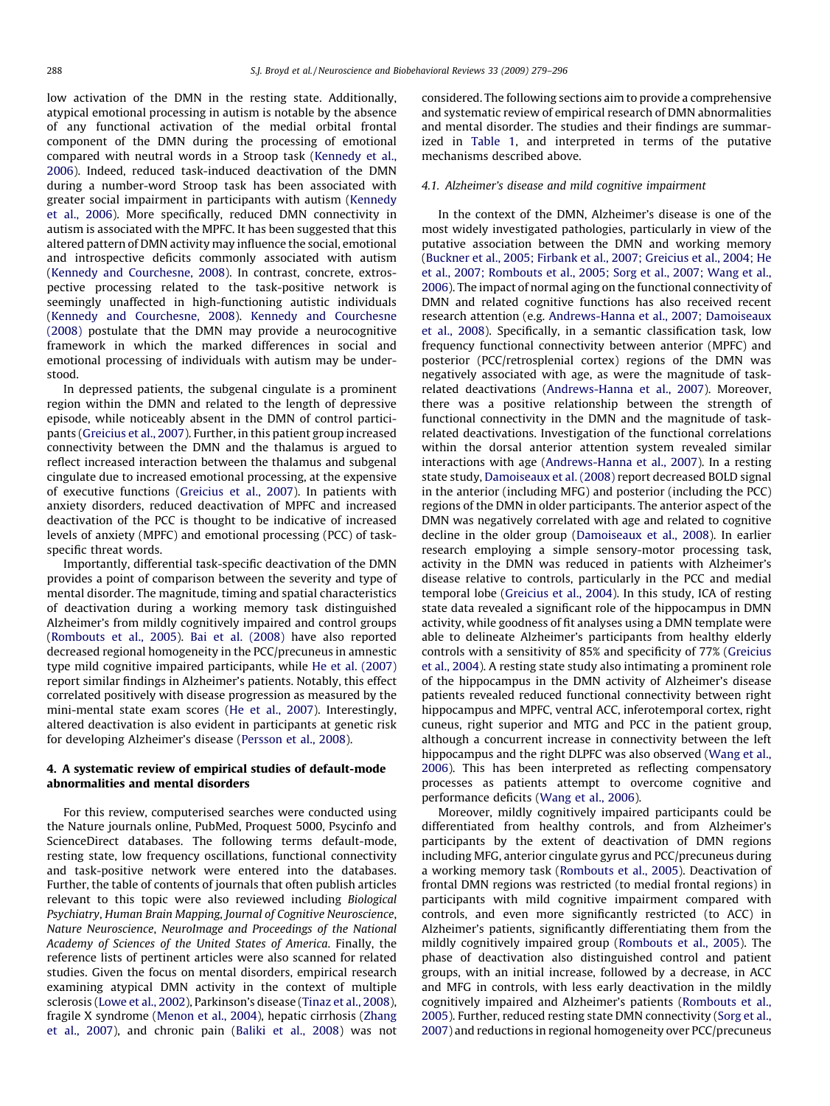low activation of the DMN in the resting state. Additionally, atypical emotional processing in autism is notable by the absence of any functional activation of the medial orbital frontal component of the DMN during the processing of emotional compared with neutral words in a Stroop task ([Kennedy et al.,](#page-16-0) [2006\)](#page-16-0). Indeed, reduced task-induced deactivation of the DMN during a number-word Stroop task has been associated with greater social impairment in participants with autism [\(Kennedy](#page-16-0) [et al., 2006\)](#page-16-0). More specifically, reduced DMN connectivity in autism is associated with the MPFC. It has been suggested that this altered pattern of DMN activity may influence the social, emotional and introspective deficits commonly associated with autism ([Kennedy and Courchesne, 2008\)](#page-16-0). In contrast, concrete, extrospective processing related to the task-positive network is seemingly unaffected in high-functioning autistic individuals ([Kennedy and Courchesne, 2008\)](#page-16-0). [Kennedy and Courchesne](#page-16-0) [\(2008\)](#page-16-0) postulate that the DMN may provide a neurocognitive framework in which the marked differences in social and emotional processing of individuals with autism may be understood.

In depressed patients, the subgenal cingulate is a prominent region within the DMN and related to the length of depressive episode, while noticeably absent in the DMN of control participants [\(Greicius et al., 2007](#page-15-0)). Further, in this patient group increased connectivity between the DMN and the thalamus is argued to reflect increased interaction between the thalamus and subgenal cingulate due to increased emotional processing, at the expensive of executive functions [\(Greicius et al., 2007\)](#page-15-0). In patients with anxiety disorders, reduced deactivation of MPFC and increased deactivation of the PCC is thought to be indicative of increased levels of anxiety (MPFC) and emotional processing (PCC) of taskspecific threat words.

Importantly, differential task-specific deactivation of the DMN provides a point of comparison between the severity and type of mental disorder. The magnitude, timing and spatial characteristics of deactivation during a working memory task distinguished Alzheimer's from mildly cognitively impaired and control groups ([Rombouts et al., 2005\)](#page-16-0). [Bai et al. \(2008\)](#page-14-0) have also reported decreased regional homogeneity in the PCC/precuneus in amnestic type mild cognitive impaired participants, while [He et al. \(2007\)](#page-15-0) report similar findings in Alzheimer's patients. Notably, this effect correlated positively with disease progression as measured by the mini-mental state exam scores ([He et al., 2007](#page-15-0)). Interestingly, altered deactivation is also evident in participants at genetic risk for developing Alzheimer's disease [\(Persson et al., 2008](#page-16-0)).

# 4. A systematic review of empirical studies of default-mode abnormalities and mental disorders

For this review, computerised searches were conducted using the Nature journals online, PubMed, Proquest 5000, Psycinfo and ScienceDirect databases. The following terms default-mode, resting state, low frequency oscillations, functional connectivity and task-positive network were entered into the databases. Further, the table of contents of journals that often publish articles relevant to this topic were also reviewed including Biological Psychiatry, Human Brain Mapping, Journal of Cognitive Neuroscience, Nature Neuroscience, NeuroImage and Proceedings of the National Academy of Sciences of the United States of America. Finally, the reference lists of pertinent articles were also scanned for related studies. Given the focus on mental disorders, empirical research examining atypical DMN activity in the context of multiple sclerosis ([Lowe et al., 2002](#page-16-0)), Parkinson's disease [\(Tinaz et al., 2008\)](#page-17-0), fragile X syndrome ([Menon et al., 2004\)](#page-16-0), hepatic cirrhosis [\(Zhang](#page-17-0) [et al., 2007](#page-17-0)), and chronic pain [\(Baliki et al., 2008\)](#page-14-0) was not considered. The following sections aim to provide a comprehensive and systematic review of empirical research of DMN abnormalities and mental disorder. The studies and their findings are summarized in [Table 1](#page-10-0), and interpreted in terms of the putative mechanisms described above.

#### 4.1. Alzheimer's disease and mild cognitive impairment

In the context of the DMN, Alzheimer's disease is one of the most widely investigated pathologies, particularly in view of the putative association between the DMN and working memory ([Buckner et al., 2005; Firbank et al., 2007; Greicius et al., 2004; He](#page-15-0) [et al., 2007; Rombouts et al., 2005; Sorg et al., 2007; Wang et al.,](#page-15-0) [2006\)](#page-15-0). The impact of normal aging on the functional connectivity of DMN and related cognitive functions has also received recent research attention (e.g. [Andrews-Hanna et al., 2007; Damoiseaux](#page-14-0) [et al., 2008\)](#page-14-0). Specifically, in a semantic classification task, low frequency functional connectivity between anterior (MPFC) and posterior (PCC/retrosplenial cortex) regions of the DMN was negatively associated with age, as were the magnitude of taskrelated deactivations ([Andrews-Hanna et al., 2007](#page-14-0)). Moreover, there was a positive relationship between the strength of functional connectivity in the DMN and the magnitude of taskrelated deactivations. Investigation of the functional correlations within the dorsal anterior attention system revealed similar interactions with age ([Andrews-Hanna et al., 2007\)](#page-14-0). In a resting state study, [Damoiseaux et al. \(2008\)](#page-15-0) report decreased BOLD signal in the anterior (including MFG) and posterior (including the PCC) regions of the DMN in older participants. The anterior aspect of the DMN was negatively correlated with age and related to cognitive decline in the older group ([Damoiseaux et al., 2008](#page-15-0)). In earlier research employing a simple sensory-motor processing task, activity in the DMN was reduced in patients with Alzheimer's disease relative to controls, particularly in the PCC and medial temporal lobe ([Greicius et al., 2004\)](#page-15-0). In this study, ICA of resting state data revealed a significant role of the hippocampus in DMN activity, while goodness of fit analyses using a DMN template were able to delineate Alzheimer's participants from healthy elderly controls with a sensitivity of 85% and specificity of 77% ([Greicius](#page-15-0) [et al., 2004\)](#page-15-0). A resting state study also intimating a prominent role of the hippocampus in the DMN activity of Alzheimer's disease patients revealed reduced functional connectivity between right hippocampus and MPFC, ventral ACC, inferotemporal cortex, right cuneus, right superior and MTG and PCC in the patient group, although a concurrent increase in connectivity between the left hippocampus and the right DLPFC was also observed ([Wang et al.,](#page-17-0) [2006\)](#page-17-0). This has been interpreted as reflecting compensatory processes as patients attempt to overcome cognitive and performance deficits ([Wang et al., 2006\)](#page-17-0).

Moreover, mildly cognitively impaired participants could be differentiated from healthy controls, and from Alzheimer's participants by the extent of deactivation of DMN regions including MFG, anterior cingulate gyrus and PCC/precuneus during a working memory task ([Rombouts et al., 2005](#page-16-0)). Deactivation of frontal DMN regions was restricted (to medial frontal regions) in participants with mild cognitive impairment compared with controls, and even more significantly restricted (to ACC) in Alzheimer's patients, significantly differentiating them from the mildly cognitively impaired group [\(Rombouts et al., 2005](#page-16-0)). The phase of deactivation also distinguished control and patient groups, with an initial increase, followed by a decrease, in ACC and MFG in controls, with less early deactivation in the mildly cognitively impaired and Alzheimer's patients ([Rombouts et al.,](#page-16-0) [2005\)](#page-16-0). Further, reduced resting state DMN connectivity [\(Sorg et al.,](#page-16-0) [2007\)](#page-16-0) and reductions in regional homogeneity over PCC/precuneus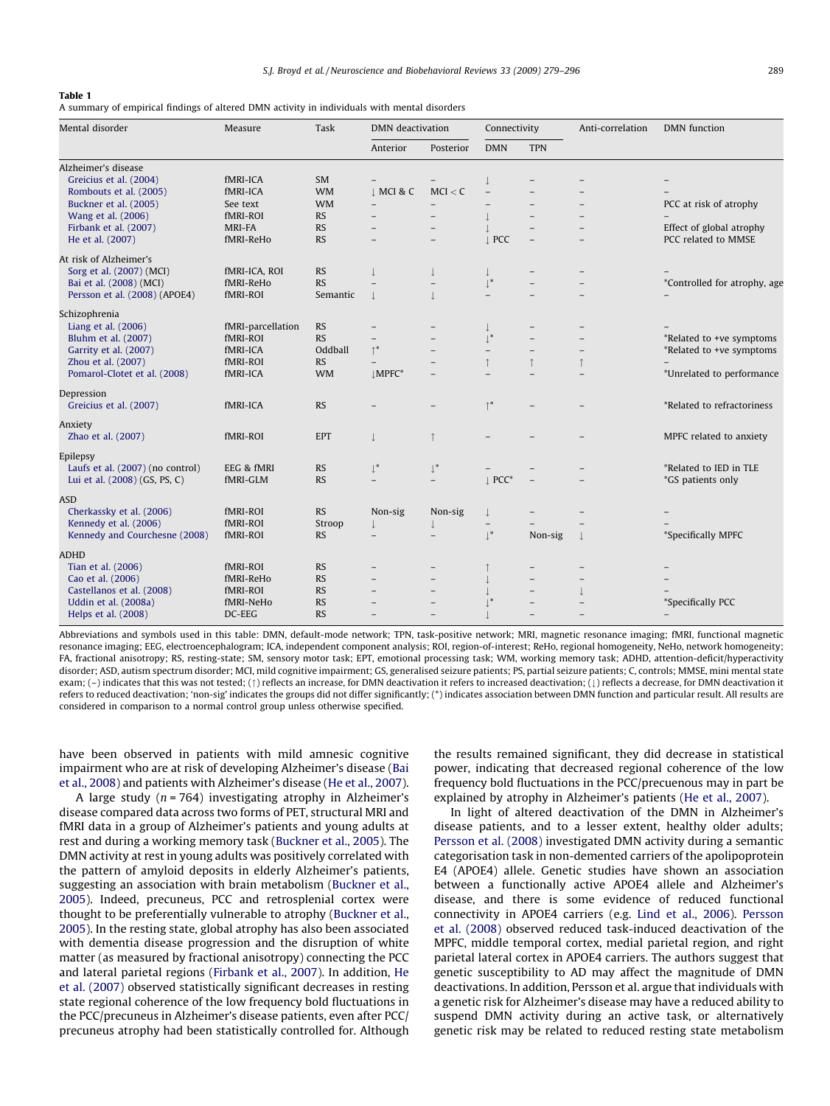#### <span id="page-10-0"></span>Table 1

A summary of empirical findings of altered DMN activity in individuals with mental disorders

| Mental disorder                  | Measure               | Task       | <b>DMN</b> deactivation  |                          | Connectivity   |                          | Anti-correlation         | <b>DMN</b> function          |
|----------------------------------|-----------------------|------------|--------------------------|--------------------------|----------------|--------------------------|--------------------------|------------------------------|
|                                  |                       |            | Anterior                 | Posterior                | <b>DMN</b>     | <b>TPN</b>               |                          |                              |
| Alzheimer's disease              |                       |            |                          |                          |                |                          |                          |                              |
| Greicius et al. (2004)           | fMRI-ICA              | SM         |                          | $\qquad \qquad -$        |                |                          |                          |                              |
| Rombouts et al. (2005)           | fMRI-ICA              | <b>WM</b>  | $\perp$ MCI & C          | MCI < C                  |                |                          |                          |                              |
| Buckner et al. (2005)            | See text              | <b>WM</b>  | $\overline{a}$           | $\overline{\phantom{0}}$ |                | $\overline{\phantom{a}}$ |                          | PCC at risk of atrophy       |
| Wang et al. (2006)               | fMRI-ROI              | <b>RS</b>  |                          |                          |                | $\overline{\phantom{0}}$ |                          |                              |
| Firbank et al. (2007)            | MRI-FA                | <b>RS</b>  |                          |                          |                |                          |                          | Effect of global atrophy     |
| He et al. (2007)                 | fMRI-ReHo             | <b>RS</b>  |                          |                          | ⊥ PCC          |                          |                          | PCC related to MMSE          |
| At risk of Alzheimer's           |                       |            |                          |                          |                |                          |                          |                              |
| Sorg et al. (2007) (MCI)         | fMRI-ICA, ROI         | <b>RS</b>  | $\perp$                  | J.                       | $\downarrow$   |                          |                          |                              |
| Bai et al. (2008) (MCI)          | fMRI-ReHo             | <b>RS</b>  |                          | $\equiv$                 | $\downarrow^*$ | $\qquad \qquad -$        |                          | *Controlled for atrophy, age |
| Persson et al. (2008) (APOE4)    | fMRI-ROI              | Semantic   | J.                       | $\mathbf{I}$             | $\equiv$       |                          |                          |                              |
| Schizophrenia                    |                       |            |                          |                          |                |                          |                          |                              |
| Liang et al. (2006)              | fMRI-parcellation     | <b>RS</b>  |                          |                          | T              |                          |                          |                              |
| Bluhm et al. (2007)              | fMRI-ROI              | <b>RS</b>  | $\overline{\phantom{0}}$ | $\overline{a}$           | $\downarrow^*$ | $\qquad \qquad -$        |                          | *Related to +ve symptoms     |
| Garrity et al. (2007)            | fMRI-ICA              | Oddball    | $\uparrow^*$             |                          |                | $\overline{\phantom{a}}$ |                          | *Related to +ve symptoms     |
| Zhou et al. (2007)               | fMRI-ROI              | <b>RS</b>  | $-$                      |                          |                |                          |                          |                              |
| Pomarol-Clotet et al. (2008)     | fMRI-ICA              | <b>WM</b>  | <b>⊥MPFC</b> *           |                          |                |                          |                          | *Unrelated to performance    |
| Depression                       |                       |            |                          |                          |                |                          |                          |                              |
| Greicius et al. (2007)           | fMRI-ICA              | <b>RS</b>  |                          |                          | $\uparrow^*$   |                          |                          | *Related to refractoriness   |
|                                  |                       |            |                          |                          |                |                          |                          |                              |
| Anxiety                          |                       |            |                          |                          |                |                          |                          |                              |
| Zhao et al. (2007)               | fMRI-ROI              | <b>EPT</b> | I                        | $\uparrow$               |                |                          |                          | MPFC related to anxiety      |
| Epilepsy                         |                       |            |                          |                          |                |                          |                          |                              |
| Laufs et al. (2007) (no control) | <b>EEG &amp; fMRI</b> | <b>RS</b>  | $\downarrow^*$           | $\downarrow^*$           |                |                          |                          | *Related to IED in TLE       |
| Lui et al. (2008) (GS, PS, C)    | fMRI-GLM              | <b>RS</b>  | Ξ.                       | $\overline{a}$           | $\perp$ PCC*   | $\overline{\phantom{0}}$ | $\overline{\phantom{0}}$ | <i>*GS patients only</i>     |
| ASD                              |                       |            |                          |                          |                |                          |                          |                              |
| Cherkassky et al. (2006)         | fMRI-ROI              | <b>RS</b>  | Non-sig                  | Non-sig                  | $\downarrow$   |                          |                          |                              |
| Kennedy et al. (2006)            | fMRI-ROI              | Stroop     | T                        | T                        | $-$            |                          |                          |                              |
| Kennedy and Courchesne (2008)    | fMRI-ROI              | <b>RS</b>  | $\overline{\phantom{0}}$ | $\qquad \qquad -$        | $\downarrow^*$ | Non-sig                  |                          | *Specifically MPFC           |
| <b>ADHD</b>                      |                       |            |                          |                          |                |                          |                          |                              |
| Tian et al. (2006)               | fMRI-ROI              | <b>RS</b>  |                          | $\overline{\phantom{0}}$ |                |                          |                          |                              |
| Cao et al. (2006)                | fMRI-ReHo             | <b>RS</b>  | $\overline{\phantom{0}}$ | $\overline{\phantom{a}}$ |                | $\overline{\phantom{a}}$ | $\overline{\phantom{0}}$ |                              |
| Castellanos et al. (2008)        | fMRI-ROI              | <b>RS</b>  |                          | $\overline{\phantom{0}}$ |                | $\overline{\phantom{a}}$ |                          |                              |
| <b>Uddin et al.</b> (2008a)      | fMRI-NeHo             | <b>RS</b>  |                          | $\overline{\phantom{0}}$ | $\mathsf{I}^*$ | $\overline{\phantom{a}}$ |                          | *Specifically PCC            |
| Helps et al. (2008)              | DC-EEG                | <b>RS</b>  |                          | $\qquad \qquad -$        |                | $\overline{\phantom{a}}$ |                          |                              |

Abbreviations and symbols used in this table: DMN, default-mode network; TPN, task-positive network; MRI, magnetic resonance imaging; fMRI, functional magnetic resonance imaging; EEG, electroencephalogram; ICA, independent component analysis; ROI, region-of-interest; ReHo, regional homogeneity, NeHo, network homogeneity; FA, fractional anisotropy; RS, resting-state; SM, sensory motor task; EPT, emotional processing task; WM, working memory task; ADHD, attention-deficit/hyperactivity disorder; ASD, autism spectrum disorder; MCI, mild cognitive impairment; GS, generalised seizure patients; PS, partial seizure patients; C, controls; MMSE, mini mental state exam; (-) indicates that this was not tested; (1) reflects an increase, for DMN deactivation it refers to increased deactivation; (1) reflects a decrease, for DMN deactivation it refers to reduced deactivation; 'non-sig' indicates the groups did not differ significantly; (\*) indicates association between DMN function and particular result. All results are considered in comparison to a normal control group unless otherwise specified.

have been observed in patients with mild amnesic cognitive impairment who are at risk of developing Alzheimer's disease ([Bai](#page-14-0) [et al., 2008](#page-14-0)) and patients with Alzheimer's disease ([He et al., 2007\)](#page-15-0).

A large study ( $n = 764$ ) investigating atrophy in Alzheimer's disease compared data across two forms of PET, structural MRI and fMRI data in a group of Alzheimer's patients and young adults at rest and during a working memory task ([Buckner et al., 2005\)](#page-15-0). The DMN activity at rest in young adults was positively correlated with the pattern of amyloid deposits in elderly Alzheimer's patients, suggesting an association with brain metabolism [\(Buckner et al.,](#page-15-0) [2005\)](#page-15-0). Indeed, precuneus, PCC and retrosplenial cortex were thought to be preferentially vulnerable to atrophy ([Buckner et al.,](#page-15-0) [2005\)](#page-15-0). In the resting state, global atrophy has also been associated with dementia disease progression and the disruption of white matter (as measured by fractional anisotropy) connecting the PCC and lateral parietal regions [\(Firbank et al., 2007\)](#page-15-0). In addition, [He](#page-15-0) [et al. \(2007\)](#page-15-0) observed statistically significant decreases in resting state regional coherence of the low frequency bold fluctuations in the PCC/precuneus in Alzheimer's disease patients, even after PCC/ precuneus atrophy had been statistically controlled for. Although the results remained significant, they did decrease in statistical power, indicating that decreased regional coherence of the low frequency bold fluctuations in the PCC/precuenous may in part be explained by atrophy in Alzheimer's patients [\(He et al., 2007](#page-15-0)).

In light of altered deactivation of the DMN in Alzheimer's disease patients, and to a lesser extent, healthy older adults; [Persson et al. \(2008\)](#page-16-0) investigated DMN activity during a semantic categorisation task in non-demented carriers of the apolipoprotein E4 (APOE4) allele. Genetic studies have shown an association between a functionally active APOE4 allele and Alzheimer's disease, and there is some evidence of reduced functional connectivity in APOE4 carriers (e.g. [Lind et al., 2006\)](#page-16-0). [Persson](#page-16-0) [et al. \(2008\)](#page-16-0) observed reduced task-induced deactivation of the MPFC, middle temporal cortex, medial parietal region, and right parietal lateral cortex in APOE4 carriers. The authors suggest that genetic susceptibility to AD may affect the magnitude of DMN deactivations. In addition, Persson et al. argue that individuals with a genetic risk for Alzheimer's disease may have a reduced ability to suspend DMN activity during an active task, or alternatively genetic risk may be related to reduced resting state metabolism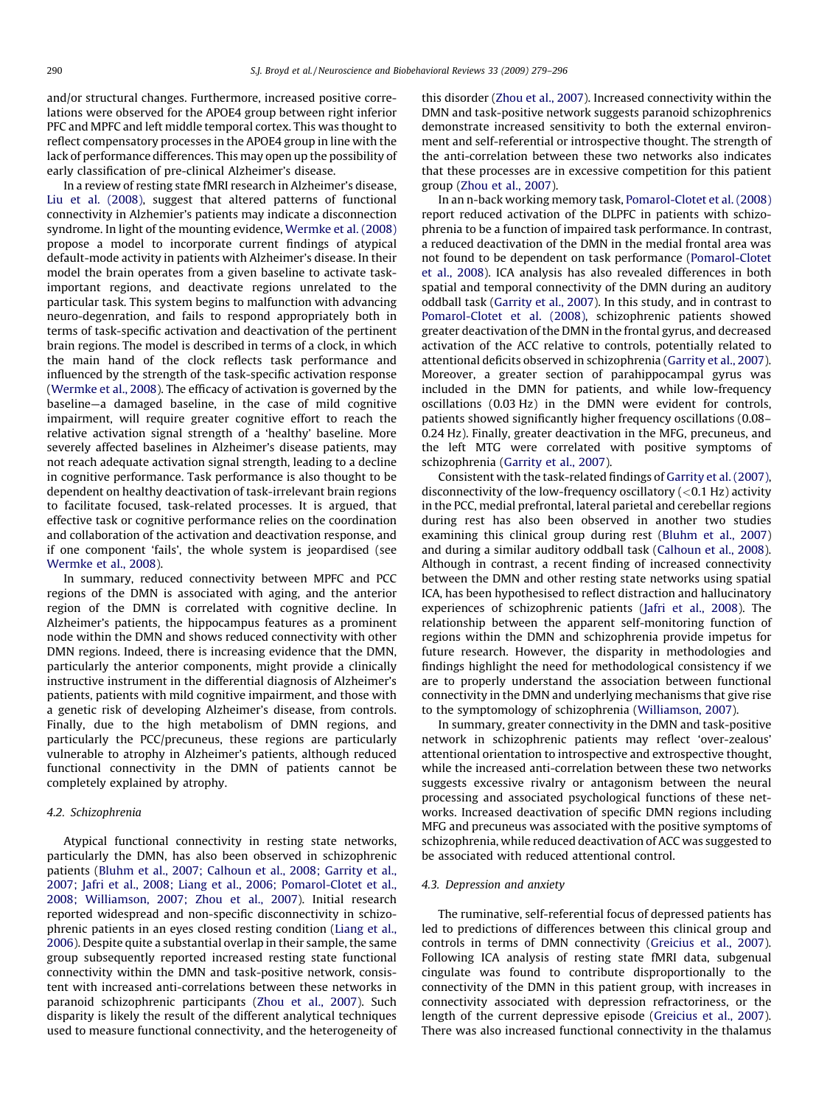and/or structural changes. Furthermore, increased positive correlations were observed for the APOE4 group between right inferior PFC and MPFC and left middle temporal cortex. This was thought to reflect compensatory processes in the APOE4 group in line with the lack of performance differences. This may open up the possibility of early classification of pre-clinical Alzheimer's disease.

In a review of resting state fMRI research in Alzheimer's disease, [Liu et al. \(2008\)](#page-16-0), suggest that altered patterns of functional connectivity in Alzhemier's patients may indicate a disconnection syndrome. In light of the mounting evidence, [Wermke et al. \(2008\)](#page-17-0) propose a model to incorporate current findings of atypical default-mode activity in patients with Alzheimer's disease. In their model the brain operates from a given baseline to activate taskimportant regions, and deactivate regions unrelated to the particular task. This system begins to malfunction with advancing neuro-degenration, and fails to respond appropriately both in terms of task-specific activation and deactivation of the pertinent brain regions. The model is described in terms of a clock, in which the main hand of the clock reflects task performance and influenced by the strength of the task-specific activation response ([Wermke et al., 2008\)](#page-17-0). The efficacy of activation is governed by the baseline—a damaged baseline, in the case of mild cognitive impairment, will require greater cognitive effort to reach the relative activation signal strength of a 'healthy' baseline. More severely affected baselines in Alzheimer's disease patients, may not reach adequate activation signal strength, leading to a decline in cognitive performance. Task performance is also thought to be dependent on healthy deactivation of task-irrelevant brain regions to facilitate focused, task-related processes. It is argued, that effective task or cognitive performance relies on the coordination and collaboration of the activation and deactivation response, and if one component 'fails', the whole system is jeopardised (see [Wermke et al., 2008](#page-17-0)).

In summary, reduced connectivity between MPFC and PCC regions of the DMN is associated with aging, and the anterior region of the DMN is correlated with cognitive decline. In Alzheimer's patients, the hippocampus features as a prominent node within the DMN and shows reduced connectivity with other DMN regions. Indeed, there is increasing evidence that the DMN, particularly the anterior components, might provide a clinically instructive instrument in the differential diagnosis of Alzheimer's patients, patients with mild cognitive impairment, and those with a genetic risk of developing Alzheimer's disease, from controls. Finally, due to the high metabolism of DMN regions, and particularly the PCC/precuneus, these regions are particularly vulnerable to atrophy in Alzheimer's patients, although reduced functional connectivity in the DMN of patients cannot be completely explained by atrophy.

# 4.2. Schizophrenia

Atypical functional connectivity in resting state networks, particularly the DMN, has also been observed in schizophrenic patients ([Bluhm et al., 2007; Calhoun et al., 2008; Garrity et al.,](#page-14-0) [2007; Jafri et al., 2008; Liang et al., 2006; Pomarol-Clotet et al.,](#page-14-0) [2008; Williamson, 2007; Zhou et al., 2007\)](#page-14-0). Initial research reported widespread and non-specific disconnectivity in schizophrenic patients in an eyes closed resting condition [\(Liang et al.,](#page-16-0) [2006\)](#page-16-0). Despite quite a substantial overlap in their sample, the same group subsequently reported increased resting state functional connectivity within the DMN and task-positive network, consistent with increased anti-correlations between these networks in paranoid schizophrenic participants ([Zhou et al., 2007](#page-17-0)). Such disparity is likely the result of the different analytical techniques used to measure functional connectivity, and the heterogeneity of this disorder [\(Zhou et al., 2007](#page-17-0)). Increased connectivity within the DMN and task-positive network suggests paranoid schizophrenics demonstrate increased sensitivity to both the external environment and self-referential or introspective thought. The strength of the anti-correlation between these two networks also indicates that these processes are in excessive competition for this patient group ([Zhou et al., 2007\)](#page-17-0).

In an n-back working memory task, [Pomarol-Clotet et al. \(2008\)](#page-16-0) report reduced activation of the DLPFC in patients with schizophrenia to be a function of impaired task performance. In contrast, a reduced deactivation of the DMN in the medial frontal area was not found to be dependent on task performance ([Pomarol-Clotet](#page-16-0) [et al., 2008](#page-16-0)). ICA analysis has also revealed differences in both spatial and temporal connectivity of the DMN during an auditory oddball task ([Garrity et al., 2007](#page-15-0)). In this study, and in contrast to [Pomarol-Clotet et al. \(2008\)](#page-16-0), schizophrenic patients showed greater deactivation of the DMN in the frontal gyrus, and decreased activation of the ACC relative to controls, potentially related to attentional deficits observed in schizophrenia [\(Garrity et al., 2007\)](#page-15-0). Moreover, a greater section of parahippocampal gyrus was included in the DMN for patients, and while low-frequency oscillations (0.03 Hz) in the DMN were evident for controls, patients showed significantly higher frequency oscillations (0.08– 0.24 Hz). Finally, greater deactivation in the MFG, precuneus, and the left MTG were correlated with positive symptoms of schizophrenia ([Garrity et al., 2007\)](#page-15-0).

Consistent with the task-related findings of [Garrity et al. \(2007\),](#page-15-0) disconnectivity of the low-frequency oscillatory  $(<$  0.1 Hz) activity in the PCC, medial prefrontal, lateral parietal and cerebellar regions during rest has also been observed in another two studies examining this clinical group during rest [\(Bluhm et al., 2007\)](#page-14-0) and during a similar auditory oddball task ([Calhoun et al., 2008\)](#page-15-0). Although in contrast, a recent finding of increased connectivity between the DMN and other resting state networks using spatial ICA, has been hypothesised to reflect distraction and hallucinatory experiences of schizophrenic patients [\(Jafri et al., 2008\)](#page-15-0). The relationship between the apparent self-monitoring function of regions within the DMN and schizophrenia provide impetus for future research. However, the disparity in methodologies and findings highlight the need for methodological consistency if we are to properly understand the association between functional connectivity in the DMN and underlying mechanisms that give rise to the symptomology of schizophrenia ([Williamson, 2007](#page-17-0)).

In summary, greater connectivity in the DMN and task-positive network in schizophrenic patients may reflect 'over-zealous' attentional orientation to introspective and extrospective thought, while the increased anti-correlation between these two networks suggests excessive rivalry or antagonism between the neural processing and associated psychological functions of these networks. Increased deactivation of specific DMN regions including MFG and precuneus was associated with the positive symptoms of schizophrenia, while reduced deactivation of ACC was suggested to be associated with reduced attentional control.

## 4.3. Depression and anxiety

The ruminative, self-referential focus of depressed patients has led to predictions of differences between this clinical group and controls in terms of DMN connectivity [\(Greicius et al., 2007\)](#page-15-0). Following ICA analysis of resting state fMRI data, subgenual cingulate was found to contribute disproportionally to the connectivity of the DMN in this patient group, with increases in connectivity associated with depression refractoriness, or the length of the current depressive episode ([Greicius et al., 2007\)](#page-15-0). There was also increased functional connectivity in the thalamus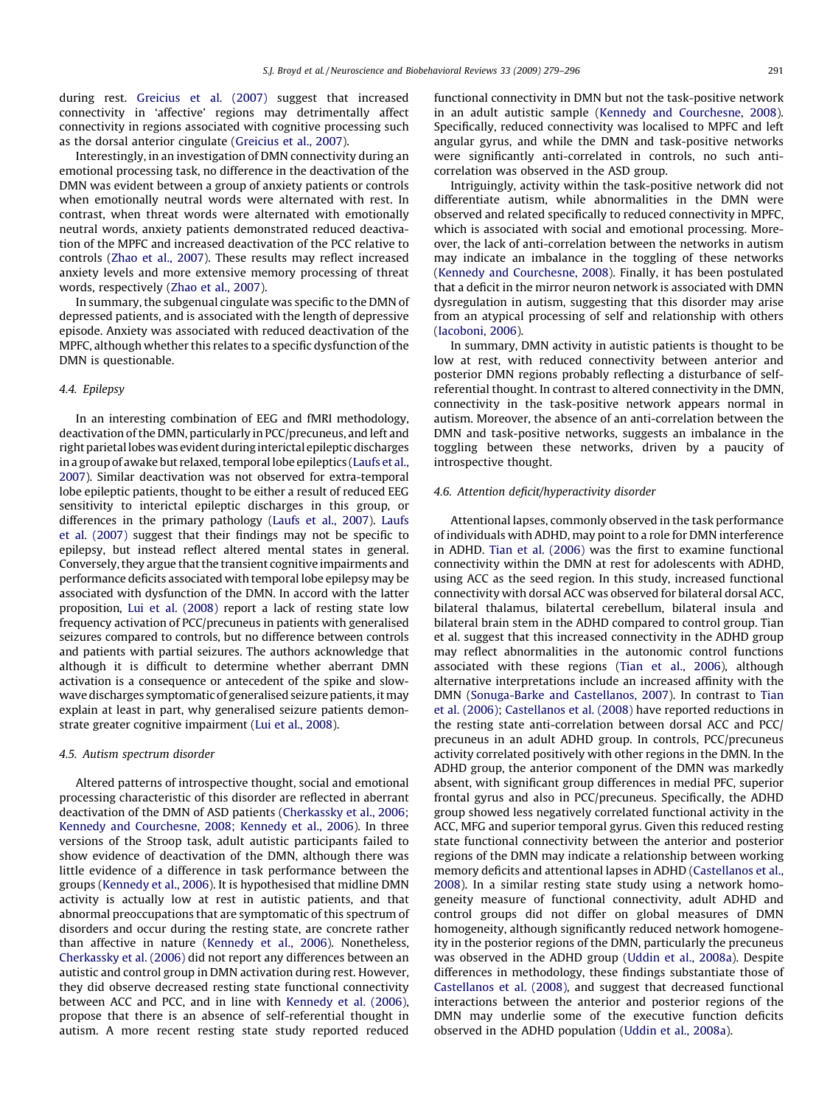during rest. [Greicius et al. \(2007\)](#page-15-0) suggest that increased connectivity in 'affective' regions may detrimentally affect connectivity in regions associated with cognitive processing such as the dorsal anterior cingulate [\(Greicius et al., 2007\)](#page-15-0).

Interestingly, in an investigation of DMN connectivity during an emotional processing task, no difference in the deactivation of the DMN was evident between a group of anxiety patients or controls when emotionally neutral words were alternated with rest. In contrast, when threat words were alternated with emotionally neutral words, anxiety patients demonstrated reduced deactivation of the MPFC and increased deactivation of the PCC relative to controls [\(Zhao et al., 2007](#page-17-0)). These results may reflect increased anxiety levels and more extensive memory processing of threat words, respectively ([Zhao et al., 2007\)](#page-17-0).

In summary, the subgenual cingulate was specific to the DMN of depressed patients, and is associated with the length of depressive episode. Anxiety was associated with reduced deactivation of the MPFC, although whether this relates to a specific dysfunction of the DMN is questionable.

# 4.4. Epilepsy

In an interesting combination of EEG and fMRI methodology, deactivation of the DMN, particularly in PCC/precuneus, and left and right parietal lobes was evident during interictal epileptic discharges in a group of awake but relaxed, temporal lobe epileptics [\(Laufs et al.,](#page-16-0) [2007](#page-16-0)). Similar deactivation was not observed for extra-temporal lobe epileptic patients, thought to be either a result of reduced EEG sensitivity to interictal epileptic discharges in this group, or differences in the primary pathology ([Laufs et al., 2007\)](#page-16-0). [Laufs](#page-16-0) [et al. \(2007\)](#page-16-0) suggest that their findings may not be specific to epilepsy, but instead reflect altered mental states in general. Conversely, they argue that the transient cognitive impairments and performance deficits associated with temporal lobe epilepsy may be associated with dysfunction of the DMN. In accord with the latter proposition, [Lui et al. \(2008\)](#page-16-0) report a lack of resting state low frequency activation of PCC/precuneus in patients with generalised seizures compared to controls, but no difference between controls and patients with partial seizures. The authors acknowledge that although it is difficult to determine whether aberrant DMN activation is a consequence or antecedent of the spike and slowwave discharges symptomatic of generalised seizure patients, itmay explain at least in part, why generalised seizure patients demonstrate greater cognitive impairment [\(Lui et al., 2008\)](#page-16-0).

#### 4.5. Autism spectrum disorder

Altered patterns of introspective thought, social and emotional processing characteristic of this disorder are reflected in aberrant deactivation of the DMN of ASD patients [\(Cherkassky et al., 2006;](#page-15-0) [Kennedy and Courchesne, 2008; Kennedy et al., 2006\)](#page-15-0). In three versions of the Stroop task, adult autistic participants failed to show evidence of deactivation of the DMN, although there was little evidence of a difference in task performance between the groups ([Kennedy et al., 2006\)](#page-16-0). It is hypothesised that midline DMN activity is actually low at rest in autistic patients, and that abnormal preoccupations that are symptomatic of this spectrum of disorders and occur during the resting state, are concrete rather than affective in nature ([Kennedy et al., 2006\)](#page-16-0). Nonetheless, [Cherkassky et al. \(2006\)](#page-15-0) did not report any differences between an autistic and control group in DMN activation during rest. However, they did observe decreased resting state functional connectivity between ACC and PCC, and in line with [Kennedy et al. \(2006\),](#page-16-0) propose that there is an absence of self-referential thought in autism. A more recent resting state study reported reduced functional connectivity in DMN but not the task-positive network in an adult autistic sample [\(Kennedy and Courchesne, 2008\)](#page-16-0). Specifically, reduced connectivity was localised to MPFC and left angular gyrus, and while the DMN and task-positive networks were significantly anti-correlated in controls, no such anticorrelation was observed in the ASD group.

Intriguingly, activity within the task-positive network did not differentiate autism, while abnormalities in the DMN were observed and related specifically to reduced connectivity in MPFC, which is associated with social and emotional processing. Moreover, the lack of anti-correlation between the networks in autism may indicate an imbalance in the toggling of these networks ([Kennedy and Courchesne, 2008\)](#page-16-0). Finally, it has been postulated that a deficit in the mirror neuron network is associated with DMN dysregulation in autism, suggesting that this disorder may arise from an atypical processing of self and relationship with others ([Iacoboni, 2006\)](#page-15-0).

In summary, DMN activity in autistic patients is thought to be low at rest, with reduced connectivity between anterior and posterior DMN regions probably reflecting a disturbance of selfreferential thought. In contrast to altered connectivity in the DMN, connectivity in the task-positive network appears normal in autism. Moreover, the absence of an anti-correlation between the DMN and task-positive networks, suggests an imbalance in the toggling between these networks, driven by a paucity of introspective thought.

### 4.6. Attention deficit/hyperactivity disorder

Attentional lapses, commonly observed in the task performance of individuals with ADHD, may point to a role for DMN interference in ADHD. [Tian et al. \(2006\)](#page-17-0) was the first to examine functional connectivity within the DMN at rest for adolescents with ADHD, using ACC as the seed region. In this study, increased functional connectivity with dorsal ACC was observed for bilateral dorsal ACC, bilateral thalamus, bilatertal cerebellum, bilateral insula and bilateral brain stem in the ADHD compared to control group. Tian et al. suggest that this increased connectivity in the ADHD group may reflect abnormalities in the autonomic control functions associated with these regions [\(Tian et al., 2006](#page-17-0)), although alternative interpretations include an increased affinity with the DMN [\(Sonuga-Barke and Castellanos, 2007](#page-16-0)). In contrast to [Tian](#page-17-0) [et al. \(2006\);](#page-17-0) [Castellanos et al. \(2008\)](#page-15-0) have reported reductions in the resting state anti-correlation between dorsal ACC and PCC/ precuneus in an adult ADHD group. In controls, PCC/precuneus activity correlated positively with other regions in the DMN. In the ADHD group, the anterior component of the DMN was markedly absent, with significant group differences in medial PFC, superior frontal gyrus and also in PCC/precuneus. Specifically, the ADHD group showed less negatively correlated functional activity in the ACC, MFG and superior temporal gyrus. Given this reduced resting state functional connectivity between the anterior and posterior regions of the DMN may indicate a relationship between working memory deficits and attentional lapses in ADHD ([Castellanos et al.,](#page-15-0) [2008\)](#page-15-0). In a similar resting state study using a network homogeneity measure of functional connectivity, adult ADHD and control groups did not differ on global measures of DMN homogeneity, although significantly reduced network homogeneity in the posterior regions of the DMN, particularly the precuneus was observed in the ADHD group [\(Uddin et al., 2008a](#page-17-0)). Despite differences in methodology, these findings substantiate those of [Castellanos et al. \(2008\),](#page-15-0) and suggest that decreased functional interactions between the anterior and posterior regions of the DMN may underlie some of the executive function deficits observed in the ADHD population [\(Uddin et al., 2008a](#page-17-0)).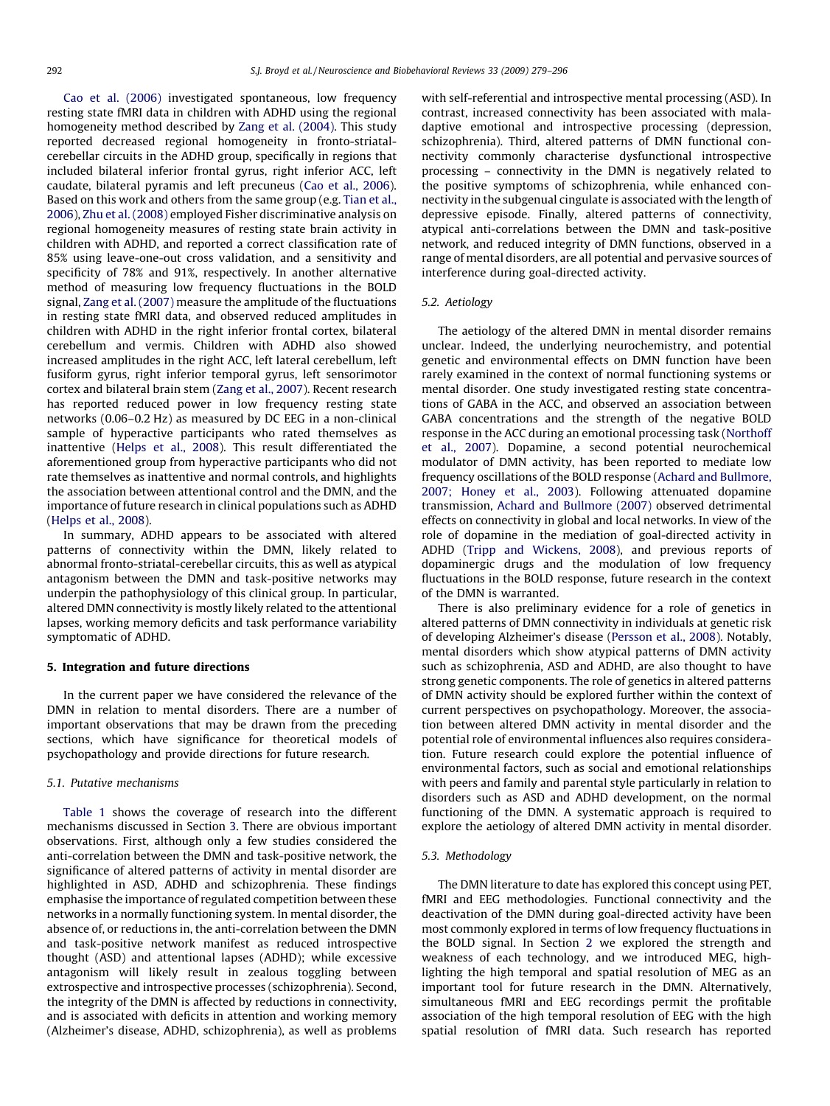[Cao et al. \(2006\)](#page-15-0) investigated spontaneous, low frequency resting state fMRI data in children with ADHD using the regional homogeneity method described by [Zang et al. \(2004\).](#page-17-0) This study reported decreased regional homogeneity in fronto-striatalcerebellar circuits in the ADHD group, specifically in regions that included bilateral inferior frontal gyrus, right inferior ACC, left caudate, bilateral pyramis and left precuneus [\(Cao et al., 2006\)](#page-15-0). Based on this work and others from the same group (e.g. [Tian et al.,](#page-17-0) [2006\)](#page-17-0), [Zhu et al. \(2008\)](#page-17-0) employed Fisher discriminative analysis on regional homogeneity measures of resting state brain activity in children with ADHD, and reported a correct classification rate of 85% using leave-one-out cross validation, and a sensitivity and specificity of 78% and 91%, respectively. In another alternative method of measuring low frequency fluctuations in the BOLD signal, [Zang et al. \(2007\)](#page-17-0) measure the amplitude of the fluctuations in resting state fMRI data, and observed reduced amplitudes in children with ADHD in the right inferior frontal cortex, bilateral cerebellum and vermis. Children with ADHD also showed increased amplitudes in the right ACC, left lateral cerebellum, left fusiform gyrus, right inferior temporal gyrus, left sensorimotor cortex and bilateral brain stem ([Zang et al., 2007\)](#page-17-0). Recent research has reported reduced power in low frequency resting state networks (0.06–0.2 Hz) as measured by DC EEG in a non-clinical sample of hyperactive participants who rated themselves as inattentive ([Helps et al., 2008](#page-15-0)). This result differentiated the aforementioned group from hyperactive participants who did not rate themselves as inattentive and normal controls, and highlights the association between attentional control and the DMN, and the importance of future research in clinical populations such as ADHD ([Helps et al., 2008\)](#page-15-0).

In summary, ADHD appears to be associated with altered patterns of connectivity within the DMN, likely related to abnormal fronto-striatal-cerebellar circuits, this as well as atypical antagonism between the DMN and task-positive networks may underpin the pathophysiology of this clinical group. In particular, altered DMN connectivity is mostly likely related to the attentional lapses, working memory deficits and task performance variability symptomatic of ADHD.

# 5. Integration and future directions

In the current paper we have considered the relevance of the DMN in relation to mental disorders. There are a number of important observations that may be drawn from the preceding sections, which have significance for theoretical models of psychopathology and provide directions for future research.

# 5.1. Putative mechanisms

[Table 1](#page-10-0) shows the coverage of research into the different mechanisms discussed in Section [3.](#page-7-0) There are obvious important observations. First, although only a few studies considered the anti-correlation between the DMN and task-positive network, the significance of altered patterns of activity in mental disorder are highlighted in ASD, ADHD and schizophrenia. These findings emphasise the importance of regulated competition between these networks in a normally functioning system. In mental disorder, the absence of, or reductions in, the anti-correlation between the DMN and task-positive network manifest as reduced introspective thought (ASD) and attentional lapses (ADHD); while excessive antagonism will likely result in zealous toggling between extrospective and introspective processes (schizophrenia). Second, the integrity of the DMN is affected by reductions in connectivity, and is associated with deficits in attention and working memory (Alzheimer's disease, ADHD, schizophrenia), as well as problems

with self-referential and introspective mental processing (ASD). In contrast, increased connectivity has been associated with maladaptive emotional and introspective processing (depression, schizophrenia). Third, altered patterns of DMN functional connectivity commonly characterise dysfunctional introspective processing – connectivity in the DMN is negatively related to the positive symptoms of schizophrenia, while enhanced connectivity in the subgenual cingulate is associated with the length of depressive episode. Finally, altered patterns of connectivity, atypical anti-correlations between the DMN and task-positive network, and reduced integrity of DMN functions, observed in a range of mental disorders, are all potential and pervasive sources of interference during goal-directed activity.

### 5.2. Aetiology

The aetiology of the altered DMN in mental disorder remains unclear. Indeed, the underlying neurochemistry, and potential genetic and environmental effects on DMN function have been rarely examined in the context of normal functioning systems or mental disorder. One study investigated resting state concentrations of GABA in the ACC, and observed an association between GABA concentrations and the strength of the negative BOLD response in the ACC during an emotional processing task [\(Northoff](#page-16-0) [et al., 2007](#page-16-0)). Dopamine, a second potential neurochemical modulator of DMN activity, has been reported to mediate low frequency oscillations of the BOLD response [\(Achard and Bullmore,](#page-14-0) [2007; Honey et al., 2003](#page-14-0)). Following attenuated dopamine transmission, [Achard and Bullmore \(2007\)](#page-14-0) observed detrimental effects on connectivity in global and local networks. In view of the role of dopamine in the mediation of goal-directed activity in ADHD ([Tripp and Wickens, 2008](#page-17-0)), and previous reports of dopaminergic drugs and the modulation of low frequency fluctuations in the BOLD response, future research in the context of the DMN is warranted.

There is also preliminary evidence for a role of genetics in altered patterns of DMN connectivity in individuals at genetic risk of developing Alzheimer's disease [\(Persson et al., 2008\)](#page-16-0). Notably, mental disorders which show atypical patterns of DMN activity such as schizophrenia, ASD and ADHD, are also thought to have strong genetic components. The role of genetics in altered patterns of DMN activity should be explored further within the context of current perspectives on psychopathology. Moreover, the association between altered DMN activity in mental disorder and the potential role of environmental influences also requires consideration. Future research could explore the potential influence of environmental factors, such as social and emotional relationships with peers and family and parental style particularly in relation to disorders such as ASD and ADHD development, on the normal functioning of the DMN. A systematic approach is required to explore the aetiology of altered DMN activity in mental disorder.

# 5.3. Methodology

The DMN literature to date has explored this concept using PET, fMRI and EEG methodologies. Functional connectivity and the deactivation of the DMN during goal-directed activity have been most commonly explored in terms of low frequency fluctuations in the BOLD signal. In Section [2](#page-3-0) we explored the strength and weakness of each technology, and we introduced MEG, highlighting the high temporal and spatial resolution of MEG as an important tool for future research in the DMN. Alternatively, simultaneous fMRI and EEG recordings permit the profitable association of the high temporal resolution of EEG with the high spatial resolution of fMRI data. Such research has reported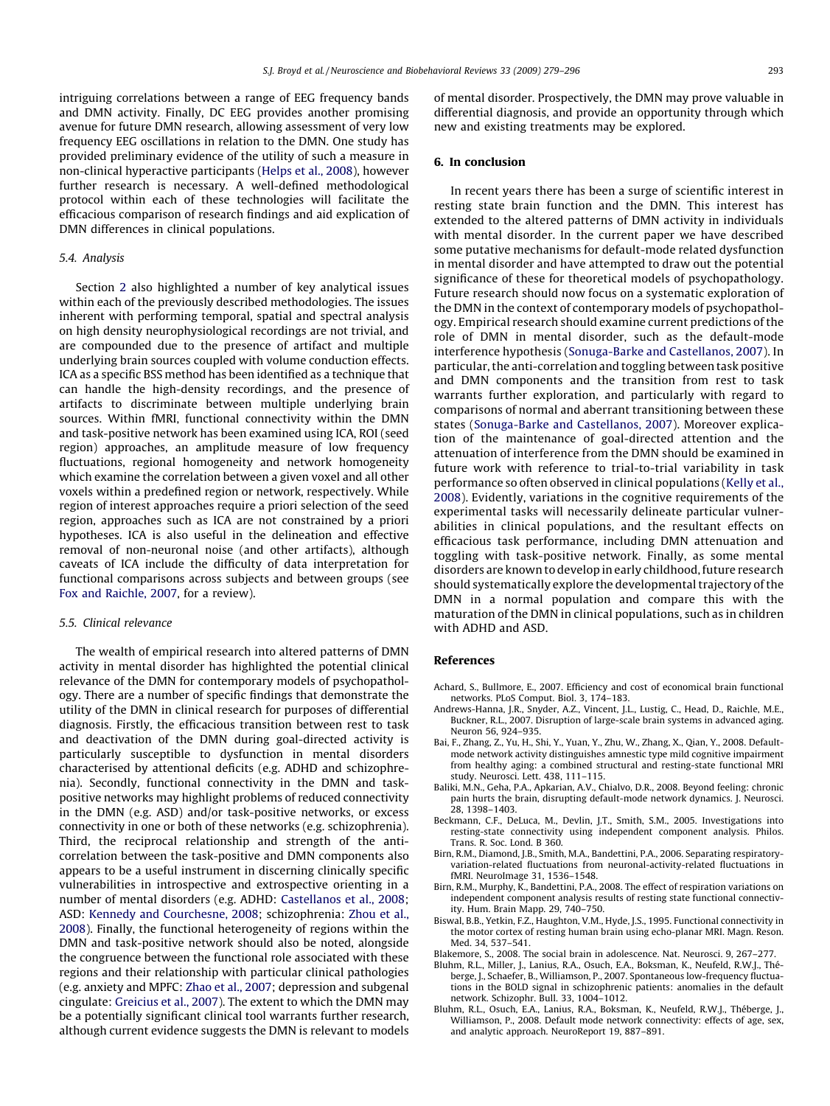<span id="page-14-0"></span>intriguing correlations between a range of EEG frequency bands and DMN activity. Finally, DC EEG provides another promising avenue for future DMN research, allowing assessment of very low frequency EEG oscillations in relation to the DMN. One study has provided preliminary evidence of the utility of such a measure in non-clinical hyperactive participants ([Helps et al., 2008](#page-15-0)), however further research is necessary. A well-defined methodological protocol within each of these technologies will facilitate the efficacious comparison of research findings and aid explication of DMN differences in clinical populations.

# 5.4. Analysis

Section [2](#page-3-0) also highlighted a number of key analytical issues within each of the previously described methodologies. The issues inherent with performing temporal, spatial and spectral analysis on high density neurophysiological recordings are not trivial, and are compounded due to the presence of artifact and multiple underlying brain sources coupled with volume conduction effects. ICA as a specific BSS method has been identified as a technique that can handle the high-density recordings, and the presence of artifacts to discriminate between multiple underlying brain sources. Within fMRI, functional connectivity within the DMN and task-positive network has been examined using ICA, ROI (seed region) approaches, an amplitude measure of low frequency fluctuations, regional homogeneity and network homogeneity which examine the correlation between a given voxel and all other voxels within a predefined region or network, respectively. While region of interest approaches require a priori selection of the seed region, approaches such as ICA are not constrained by a priori hypotheses. ICA is also useful in the delineation and effective removal of non-neuronal noise (and other artifacts), although caveats of ICA include the difficulty of data interpretation for functional comparisons across subjects and between groups (see [Fox and Raichle, 2007](#page-15-0), for a review).

# 5.5. Clinical relevance

The wealth of empirical research into altered patterns of DMN activity in mental disorder has highlighted the potential clinical relevance of the DMN for contemporary models of psychopathology. There are a number of specific findings that demonstrate the utility of the DMN in clinical research for purposes of differential diagnosis. Firstly, the efficacious transition between rest to task and deactivation of the DMN during goal-directed activity is particularly susceptible to dysfunction in mental disorders characterised by attentional deficits (e.g. ADHD and schizophrenia). Secondly, functional connectivity in the DMN and taskpositive networks may highlight problems of reduced connectivity in the DMN (e.g. ASD) and/or task-positive networks, or excess connectivity in one or both of these networks (e.g. schizophrenia). Third, the reciprocal relationship and strength of the anticorrelation between the task-positive and DMN components also appears to be a useful instrument in discerning clinically specific vulnerabilities in introspective and extrospective orienting in a number of mental disorders (e.g. ADHD: [Castellanos et al., 2008;](#page-15-0) ASD: [Kennedy and Courchesne, 2008;](#page-16-0) schizophrenia: [Zhou et al.,](#page-17-0) [2008\)](#page-17-0). Finally, the functional heterogeneity of regions within the DMN and task-positive network should also be noted, alongside the congruence between the functional role associated with these regions and their relationship with particular clinical pathologies (e.g. anxiety and MPFC: [Zhao et al., 2007](#page-17-0); depression and subgenal cingulate: [Greicius et al., 2007\)](#page-15-0). The extent to which the DMN may be a potentially significant clinical tool warrants further research, although current evidence suggests the DMN is relevant to models of mental disorder. Prospectively, the DMN may prove valuable in differential diagnosis, and provide an opportunity through which new and existing treatments may be explored.

# 6. In conclusion

In recent years there has been a surge of scientific interest in resting state brain function and the DMN. This interest has extended to the altered patterns of DMN activity in individuals with mental disorder. In the current paper we have described some putative mechanisms for default-mode related dysfunction in mental disorder and have attempted to draw out the potential significance of these for theoretical models of psychopathology. Future research should now focus on a systematic exploration of the DMN in the context of contemporary models of psychopathology. Empirical research should examine current predictions of the role of DMN in mental disorder, such as the default-mode interference hypothesis [\(Sonuga-Barke and Castellanos, 2007\)](#page-16-0). In particular, the anti-correlation and toggling between task positive and DMN components and the transition from rest to task warrants further exploration, and particularly with regard to comparisons of normal and aberrant transitioning between these states [\(Sonuga-Barke and Castellanos, 2007\)](#page-16-0). Moreover explication of the maintenance of goal-directed attention and the attenuation of interference from the DMN should be examined in future work with reference to trial-to-trial variability in task performance so often observed in clinical populations [\(Kelly et al.,](#page-16-0) [2008](#page-16-0)). Evidently, variations in the cognitive requirements of the experimental tasks will necessarily delineate particular vulnerabilities in clinical populations, and the resultant effects on efficacious task performance, including DMN attenuation and toggling with task-positive network. Finally, as some mental disorders are known to develop in early childhood, future research should systematically explore the developmental trajectory of the DMN in a normal population and compare this with the maturation of the DMN in clinical populations, such as in children with ADHD and ASD.

#### References

- Achard, S., Bullmore, E., 2007. Efficiency and cost of economical brain functional networks. PLoS Comput. Biol. 3, 174–183.
- Andrews-Hanna, J.R., Snyder, A.Z., Vincent, J.L., Lustig, C., Head, D., Raichle, M.E., Buckner, R.L., 2007. Disruption of large-scale brain systems in advanced aging. Neuron 56, 924–935.
- Bai, F., Zhang, Z., Yu, H., Shi, Y., Yuan, Y., Zhu, W., Zhang, X., Qian, Y., 2008. Defaultmode network activity distinguishes amnestic type mild cognitive impairment from healthy aging: a combined structural and resting-state functional MRI study. Neurosci. Lett. 438, 111–115.
- Baliki, M.N., Geha, P.A., Apkarian, A.V., Chialvo, D.R., 2008. Beyond feeling: chronic pain hurts the brain, disrupting default-mode network dynamics. J. Neurosci. 28, 1398–1403.
- Beckmann, C.F., DeLuca, M., Devlin, J.T., Smith, S.M., 2005. Investigations into resting-state connectivity using independent component analysis. Philos. Trans. R. Soc. Lond. B 360.
- Birn, R.M., Diamond, J.B., Smith, M.A., Bandettini, P.A., 2006. Separating respiratoryvariation-related fluctuations from neuronal-activity-related fluctuations in fMRI. NeuroImage 31, 1536–1548.
- Birn, R.M., Murphy, K., Bandettini, P.A., 2008. The effect of respiration variations on independent component analysis results of resting state functional connectivity. Hum. Brain Mapp. 29, 740–750.
- Biswal, B.B., Yetkin, F.Z., Haughton, V.M., Hyde, J.S., 1995. Functional connectivity in the motor cortex of resting human brain using echo-planar MRI. Magn. Reson. Med. 34, 537–541.
- Blakemore, S., 2008. The social brain in adolescence. Nat. Neurosci. 9, 267–277.
- Bluhm, R.L., Miller, J., Lanius, R.A., Osuch, E.A., Boksman, K., Neufeld, R.W.J., Théberge, J., Schaefer, B., Williamson, P., 2007. Spontaneous low-frequency fluctuations in the BOLD signal in schizophrenic patients: anomalies in the default network. Schizophr. Bull. 33, 1004–1012.
- Bluhm, R.L., Osuch, E.A., Lanius, R.A., Boksman, K., Neufeld, R.W.J., Théberge, J., Williamson, P., 2008. Default mode network connectivity: effects of age, sex, and analytic approach. NeuroReport 19, 887–891.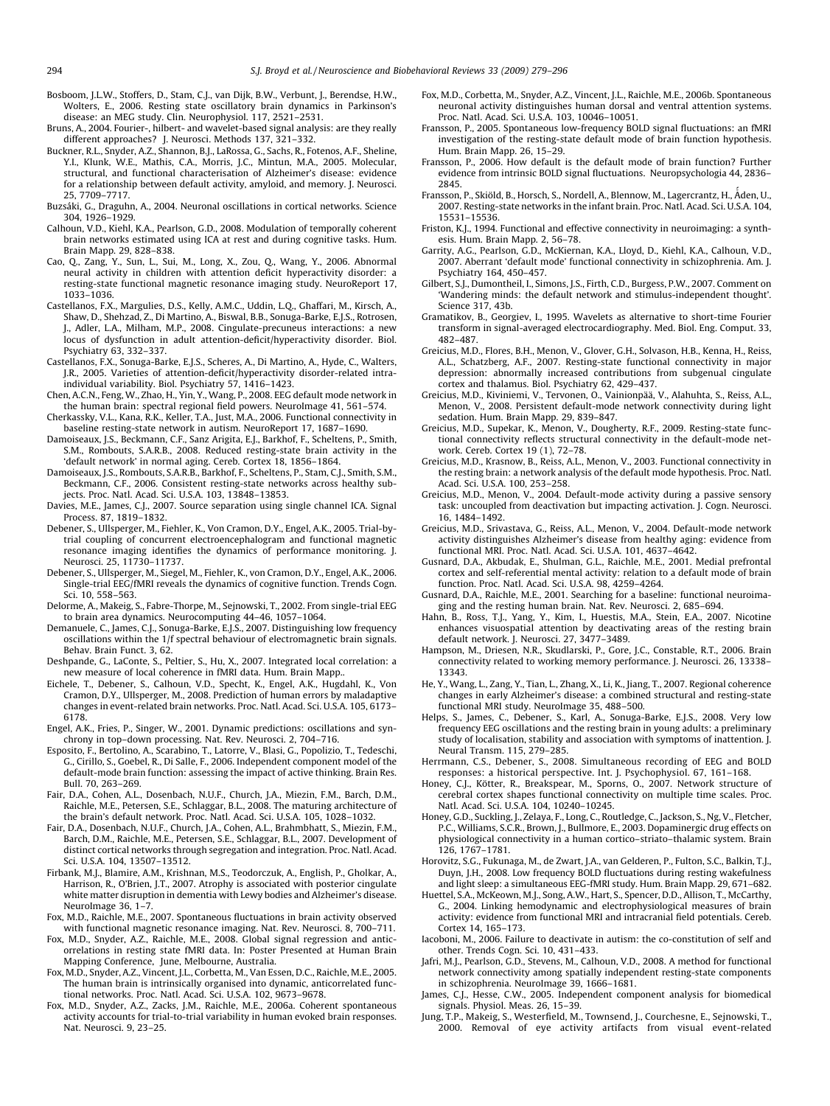- <span id="page-15-0"></span>Bosboom, J.L.W., Stoffers, D., Stam, C.J., van Dijk, B.W., Verbunt, J., Berendse, H.W., Wolters, E., 2006. Resting state oscillatory brain dynamics in Parkinson's disease: an MEG study. Clin. Neurophysiol. 117, 2521–2531.
- Bruns, A., 2004. Fourier-, hilbert- and wavelet-based signal analysis: are they really different approaches? J. Neurosci. Methods 137, 321–332.
- Buckner, R.L., Snyder, A.Z., Shannon, B.J., LaRossa, G., Sachs, R., Fotenos, A.F., Sheline, Y.I., Klunk, W.E., Mathis, C.A., Morris, J.C., Mintun, M.A., 2005. Molecular, structural, and functional characterisation of Alzheimer's disease: evidence for a relationship between default activity, amyloid, and memory. J. Neurosci. 25, 7709–7717.
- Buzsáki, G., Draguhn, A., 2004. Neuronal oscillations in cortical networks. Science 304, 1926–1929.
- Calhoun, V.D., Kiehl, K.A., Pearlson, G.D., 2008. Modulation of temporally coherent brain networks estimated using ICA at rest and during cognitive tasks. Hum. Brain Mapp. 29, 828–838.
- Cao, Q., Zang, Y., Sun, L., Sui, M., Long, X., Zou, Q., Wang, Y., 2006. Abnormal neural activity in children with attention deficit hyperactivity disorder: a resting-state functional magnetic resonance imaging study. NeuroReport 17, 1033–1036.
- Castellanos, F.X., Margulies, D.S., Kelly, A.M.C., Uddin, L.Q., Ghaffari, M., Kirsch, A., Shaw, D., Shehzad, Z., Di Martino, A., Biswal, B.B., Sonuga-Barke, E.J.S., Rotrosen, J., Adler, L.A., Milham, M.P., 2008. Cingulate-precuneus interactions: a new locus of dysfunction in adult attention-deficit/hyperactivity disorder. Biol. Psychiatry 63, 332–337.
- Castellanos, F.X., Sonuga-Barke, E.J.S., Scheres, A., Di Martino, A., Hyde, C., Walters, J.R., 2005. Varieties of attention-deficit/hyperactivity disorder-related intraindividual variability. Biol. Psychiatry 57, 1416–1423.
- Chen, A.C.N., Feng, W., Zhao, H., Yin, Y., Wang, P., 2008. EEG default mode network in the human brain: spectral regional field powers. NeuroImage 41, 561-574.
- Cherkassky, V.L., Kana, R.K., Keller, T.A., Just, M.A., 2006. Functional connectivity in baseline resting-state network in autism. NeuroReport 17, 1687–1690.
- Damoiseaux, J.S., Beckmann, C.F., Sanz Arigita, E.J., Barkhof, F., Scheltens, P., Smith, S.M., Rombouts, S.A.R.B., 2008. Reduced resting-state brain activity in the 'default network' in normal aging. Cereb. Cortex 18, 1856–1864.
- Damoiseaux, J.S., Rombouts, S.A.R.B., Barkhof, F., Scheltens, P., Stam, C.J., Smith, S.M., Beckmann, C.F., 2006. Consistent resting-state networks across healthy subjects. Proc. Natl. Acad. Sci. U.S.A. 103, 13848–13853.
- Davies, M.E., James, C.J., 2007. Source separation using single channel ICA. Signal Process. 87, 1819–1832.
- Debener, S., Ullsperger, M., Fiehler, K., Von Cramon, D.Y., Engel, A.K., 2005. Trial-bytrial coupling of concurrent electroencephalogram and functional magnetic resonance imaging identifies the dynamics of performance monitoring. J. Neurosci. 25, 11730–11737.
- Debener, S., Ullsperger, M., Siegel, M., Fiehler, K., von Cramon, D.Y., Engel, A.K., 2006. Single-trial EEG/fMRI reveals the dynamics of cognitive function. Trends Cogn. Sci. 10, 558–563.
- Delorme, A., Makeig, S., Fabre-Thorpe, M., Sejnowski, T., 2002. From single-trial EEG to brain area dynamics. Neurocomputing 44–46, 1057–1064.
- Demanuele, C., James, C.J., Sonuga-Barke, E.J.S., 2007. Distinguishing low frequency oscillations within the 1/f spectral behaviour of electromagnetic brain signals. Behav. Brain Funct. 3, 62.
- Deshpande, G., LaConte, S., Peltier, S., Hu, X., 2007. Integrated local correlation: a new measure of local coherence in fMRI data. Hum. Brain Mapp..
- Eichele, T., Debener, S., Calhoun, V.D., Specht, K., Engel, A.K., Hugdahl, K., Von Cramon, D.Y., Ullsperger, M., 2008. Prediction of human errors by maladaptive changes in event-related brain networks. Proc. Natl. Acad. Sci. U.S.A. 105, 6173– 6178.
- Engel, A.K., Fries, P., Singer, W., 2001. Dynamic predictions: oscillations and synchrony in top–down processing. Nat. Rev. Neurosci. 2, 704–716.
- Esposito, F., Bertolino, A., Scarabino, T., Latorre, V., Blasi, G., Popolizio, T., Tedeschi, G., Cirillo, S., Goebel, R., Di Salle, F., 2006. Independent component model of the default-mode brain function: assessing the impact of active thinking. Brain Res. Bull. 70, 263–269.
- Fair, D.A., Cohen, A.L., Dosenbach, N.U.F., Church, J.A., Miezin, F.M., Barch, D.M., Raichle, M.E., Petersen, S.E., Schlaggar, B.L., 2008. The maturing architecture of the brain's default network. Proc. Natl. Acad. Sci. U.S.A. 105, 1028–1032.
- Fair, D.A., Dosenbach, N.U.F., Church, J.A., Cohen, A.L., Brahmbhatt, S., Miezin, F.M., Barch, D.M., Raichle, M.E., Petersen, S.E., Schlaggar, B.L., 2007. Development of distinct cortical networks through segregation and integration. Proc. Natl. Acad. Sci. U.S.A. 104, 13507–13512.
- Firbank, M.J., Blamire, A.M., Krishnan, M.S., Teodorczuk, A., English, P., Gholkar, A., Harrison, R., O'Brien, J.T., 2007. Atrophy is associated with posterior cingulate white matter disruption in dementia with Lewy bodies and Alzheimer's disease. NeuroImage 36, 1–7.
- Fox, M.D., Raichle, M.E., 2007. Spontaneous fluctuations in brain activity observed with functional magnetic resonance imaging. Nat. Rev. Neurosci. 8, 700–711.
- Fox, M.D., Snyder, A.Z., Raichle, M.E., 2008. Global signal regression and anticorrelations in resting state fMRI data. In: Poster Presented at Human Brain Mapping Conference, June, Melbourne, Australia.
- Fox, M.D., Snyder, A.Z., Vincent, J.L., Corbetta, M., Van Essen, D.C., Raichle, M.E., 2005. The human brain is intrinsically organised into dynamic, anticorrelated functional networks. Proc. Natl. Acad. Sci. U.S.A. 102, 9673–9678.
- Fox, M.D., Snyder, A.Z., Zacks, J.M., Raichle, M.E., 2006a. Coherent spontaneous activity accounts for trial-to-trial variability in human evoked brain responses. Nat. Neurosci. 9, 23–25.
- Fox, M.D., Corbetta, M., Snyder, A.Z., Vincent, J.L., Raichle, M.E., 2006b. Spontaneous neuronal activity distinguishes human dorsal and ventral attention systems. Proc. Natl. Acad. Sci. U.S.A. 103, 10046–10051.
- Fransson, P., 2005. Spontaneous low-frequency BOLD signal fluctuations: an fMRI investigation of the resting-state default mode of brain function hypothesis. Hum. Brain Mapp. 26, 15–29.
- Fransson, P., 2006. How default is the default mode of brain function? Further evidence from intrinsic BOLD signal fluctuations. Neuropsychologia 44, 2836– 2845.
- Fransson, P., Skiöld, B., Horsch, S., Nordell, A., Blennow, M., Lagercrantz, H., Åden, U., 2007. Resting-state networks in the infant brain. Proc. Natl. Acad. Sci. U.S.A. 104, 15531–15536.
- Friston, K.J., 1994. Functional and effective connectivity in neuroimaging: a synthesis. Hum. Brain Mapp. 2, 56–78.
- Garrity, A.G., Pearlson, G.D., McKiernan, K.A., Lloyd, D., Kiehl, K.A., Calhoun, V.D., 2007. Aberrant 'default mode' functional connectivity in schizophrenia. Am. J. Psychiatry 164, 450–457.
- Gilbert, S.J., Dumontheil, I., Simons, J.S., Firth, C.D., Burgess, P.W., 2007. Comment on 'Wandering minds: the default network and stimulus-independent thought'. Science 317, 43b.
- Gramatikov, B., Georgiev, I., 1995. Wavelets as alternative to short-time Fourier transform in signal-averaged electrocardiography. Med. Biol. Eng. Comput. 33, 482–487.
- Greicius, M.D., Flores, B.H., Menon, V., Glover, G.H., Solvason, H.B., Kenna, H., Reiss, A.L., Schatzberg, A.F., 2007. Resting-state functional connectivity in major depression: abnormally increased contributions from subgenual cingulate cortex and thalamus. Biol. Psychiatry 62, 429–437.
- Greicius, M.D., Kiviniemi, V., Tervonen, O., Vainionpää, V., Alahuhta, S., Reiss, A.L., Menon, V., 2008. Persistent default-mode network connectivity during light sedation. Hum. Brain Mapp. 29, 839–847.
- Greicius, M.D., Supekar, K., Menon, V., Dougherty, R.F., 2009. Resting-state functional connectivity reflects structural connectivity in the default-mode network. Cereb. Cortex 19 (1), 72–78.
- Greicius, M.D., Krasnow, B., Reiss, A.L., Menon, V., 2003. Functional connectivity in the resting brain: a network analysis of the default mode hypothesis. Proc. Natl. Acad. Sci. U.S.A. 100, 253–258.
- Greicius, M.D., Menon, V., 2004. Default-mode activity during a passive sensory task: uncoupled from deactivation but impacting activation. J. Cogn. Neurosci. 16, 1484–1492.
- Greicius, M.D., Srivastava, G., Reiss, A.L., Menon, V., 2004. Default-mode network activity distinguishes Alzheimer's disease from healthy aging: evidence from functional MRI. Proc. Natl. Acad. Sci. U.S.A. 101, 4637–4642.
- Gusnard, D.A., Akbudak, E., Shulman, G.L., Raichle, M.E., 2001. Medial prefrontal cortex and self-referential mental activity: relation to a default mode of brain function. Proc. Natl. Acad. Sci. U.S.A. 98, 4259–4264.
- Gusnard, D.A., Raichle, M.E., 2001. Searching for a baseline: functional neuroimaging and the resting human brain. Nat. Rev. Neurosci. 2, 685–694.
- Hahn, B., Ross, T.J., Yang, Y., Kim, I., Huestis, M.A., Stein, E.A., 2007. Nicotine enhances visuospatial attention by deactivating areas of the resting brain default network. J. Neurosci. 27, 3477–3489.
- Hampson, M., Driesen, N.R., Skudlarski, P., Gore, J.C., Constable, R.T., 2006. Brain connectivity related to working memory performance. J. Neurosci. 26, 13338– 13343.
- He, Y., Wang, L., Zang, Y., Tian, L., Zhang, X., Li, K., Jiang, T., 2007. Regional coherence changes in early Alzheimer's disease: a combined structural and resting-state functional MRI study. NeuroImage 35, 488–500.
- Helps, S., James, C., Debener, S., Karl, A., Sonuga-Barke, E.J.S., 2008. Very low frequency EEG oscillations and the resting brain in young adults: a preliminary study of localisation, stability and association with symptoms of inattention. J. Neural Transm. 115, 279–285.
- Herrmann, C.S., Debener, S., 2008. Simultaneous recording of EEG and BOLD responses: a historical perspective. Int. J. Psychophysiol. 67, 161–168.
- Honey, C.J., Kötter, R., Breakspear, M., Sporns, O., 2007. Network structure of cerebral cortex shapes functional connectivity on multiple time scales. Proc. Natl. Acad. Sci. U.S.A. 104, 10240–10245.
- Honey, G.D., Suckling, J., Zelaya, F., Long, C., Routledge, C., Jackson, S., Ng, V., Fletcher, P.C., Williams, S.C.R., Brown, J., Bullmore, E., 2003. Dopaminergic drug effects on physiological connectivity in a human cortico–striato–thalamic system. Brain 126, 1767–1781.
- Horovitz, S.G., Fukunaga, M., de Zwart, J.A., van Gelderen, P., Fulton, S.C., Balkin, T.J., Duyn, J.H., 2008. Low frequency BOLD fluctuations during resting wakefulness and light sleep: a simultaneous EEG-fMRI study. Hum. Brain Mapp. 29, 671–682.
- Huettel, S.A., McKeown, M.J., Song, A.W., Hart, S., Spencer, D.D., Allison, T., McCarthy, G., 2004. Linking hemodynamic and electrophysiological measures of brain activity: evidence from functional MRI and intracranial field potentials. Cereb. Cortex 14, 165–173.
- Iacoboni, M., 2006. Failure to deactivate in autism: the co-constitution of self and other. Trends Cogn. Sci. 10, 431–433.
- Jafri, M.J., Pearlson, G.D., Stevens, M., Calhoun, V.D., 2008. A method for functional network connectivity among spatially independent resting-state components in schizophrenia. NeuroImage 39, 1666–1681.
- James, C.J., Hesse, C.W., 2005. Independent component analysis for biomedical signals. Physiol. Meas. 26, 15–39.
- Jung, T.P., Makeig, S., Westerfield, M., Townsend, J., Courchesne, E., Sejnowski, T., 2000. Removal of eye activity artifacts from visual event-related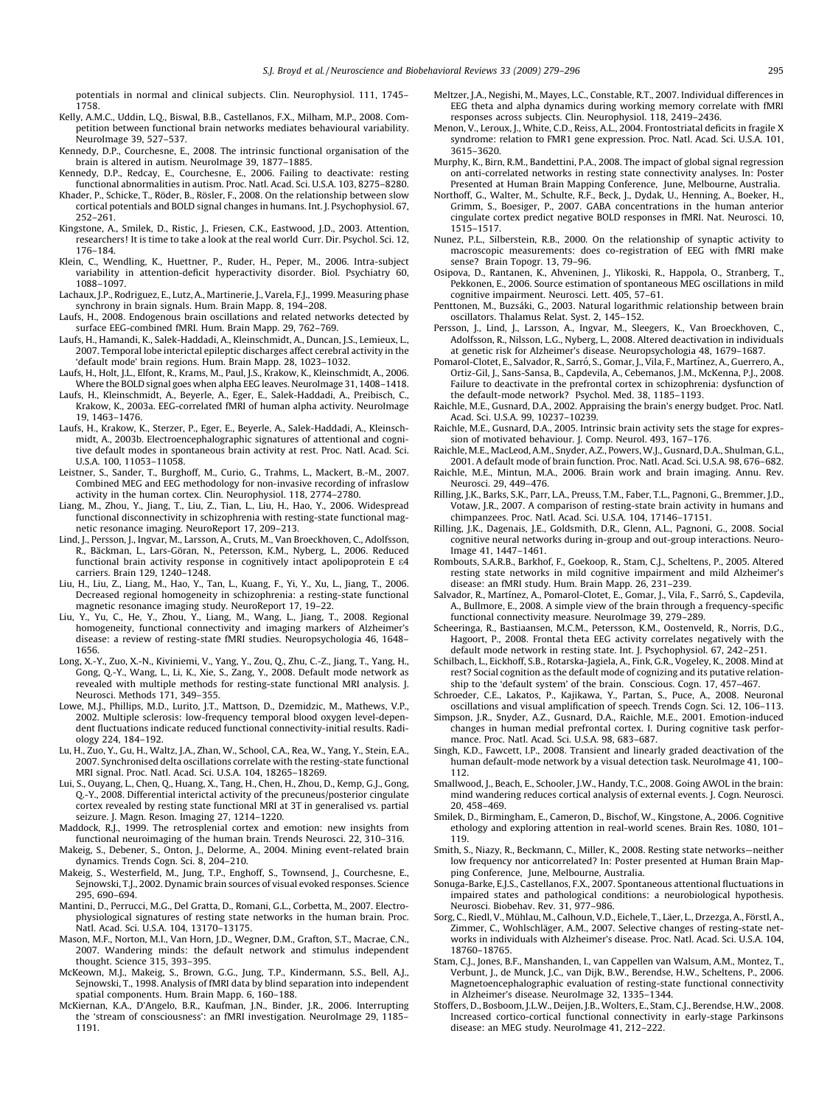<span id="page-16-0"></span>potentials in normal and clinical subjects. Clin. Neurophysiol. 111, 1745– 1758.

- Kelly, A.M.C., Uddin, L.Q., Biswal, B.B., Castellanos, F.X., Milham, M.P., 2008. Competition between functional brain networks mediates behavioural variability. NeuroImage 39, 527–537.
- Kennedy, D.P., Courchesne, E., 2008. The intrinsic functional organisation of the brain is altered in autism. NeuroImage 39, 1877–1885.
- Kennedy, D.P., Redcay, E., Courchesne, E., 2006. Failing to deactivate: resting functional abnormalities in autism. Proc. Natl. Acad. Sci. U.S.A. 103, 8275–8280.
- Khader, P., Schicke, T., Röder, B., Rösler, F., 2008. On the relationship between slow cortical potentials and BOLD signal changes in humans. Int. J. Psychophysiol. 67, 252–261.
- Kingstone, A., Smilek, D., Ristic, J., Friesen, C.K., Eastwood, J.D., 2003. Attention, researchers! It is time to take a look at the real world Curr. Dir. Psychol. Sci. 12, 176–184.
- Klein, C., Wendling, K., Huettner, P., Ruder, H., Peper, M., 2006. Intra-subject variability in attention-deficit hyperactivity disorder. Biol. Psychiatry 60, 1088–1097.
- Lachaux, J.P., Rodriguez, E., Lutz, A., Martinerie, J., Varela, F.J., 1999. Measuring phase synchrony in brain signals. Hum. Brain Mapp. 8, 194–208.
- Laufs, H., 2008. Endogenous brain oscillations and related networks detected by surface EEG-combined fMRI. Hum. Brain Mapp. 29, 762–769.
- Laufs, H., Hamandi, K., Salek-Haddadi, A., Kleinschmidt, A., Duncan, J.S., Lemieux, L., 2007. Temporal lobe interictal epileptic discharges affect cerebral activity in the 'default mode' brain regions. Hum. Brain Mapp. 28, 1023–1032.
- Laufs, H., Holt, J.L., Elfont, R., Krams, M., Paul, J.S., Krakow, K., Kleinschmidt, A., 2006. Where the BOLD signal goes when alpha EEG leaves. NeuroImage 31, 1408–1418.
- Laufs, H., Kleinschmidt, A., Beyerle, A., Eger, E., Salek-Haddadi, A., Preibisch, C., Krakow, K., 2003a. EEG-correlated fMRI of human alpha activity. NeuroImage 19, 1463–1476.
- Laufs, H., Krakow, K., Sterzer, P., Eger, E., Beyerle, A., Salek-Haddadi, A., Kleinschmidt, A., 2003b. Electroencephalographic signatures of attentional and cognitive default modes in spontaneous brain activity at rest. Proc. Natl. Acad. Sci. U.S.A. 100, 11053–11058.
- Leistner, S., Sander, T., Burghoff, M., Curio, G., Trahms, L., Mackert, B.-M., 2007. Combined MEG and EEG methodology for non-invasive recording of infraslow activity in the human cortex. Clin. Neurophysiol. 118, 2774–2780.
- Liang, M., Zhou, Y., Jiang, T., Liu, Z., Tian, L., Liu, H., Hao, Y., 2006. Widespread functional disconnectivity in schizophrenia with resting-state functional magnetic resonance imaging. NeuroReport 17, 209–213.
- Lind, J., Persson, J., Ingvar, M., Larsson, A., Cruts, M., Van Broeckhoven, C., Adolfsson, R., Ba¨ckman, L., Lars-Go¨ ran, N., Petersson, K.M., Nyberg, L., 2006. Reduced functional brain activity response in cognitively intact apolipoprotein E e4 carriers. Brain 129, 1240–1248.
- Liu, H., Liu, Z., Liang, M., Hao, Y., Tan, L., Kuang, F., Yi, Y., Xu, L., Jiang, T., 2006. Decreased regional homogeneity in schizophrenia: a resting-state functional magnetic resonance imaging study. NeuroReport 17, 19–22.
- Liu, Y., Yu, C., He, Y., Zhou, Y., Liang, M., Wang, L., Jiang, T., 2008. Regional homogeneity, functional connectivity and imaging markers of Alzheimer's disease: a review of resting-state fMRI studies. Neuropsychologia 46, 1648– 1656.
- Long, X.-Y., Zuo, X.-N., Kiviniemi, V., Yang, Y., Zou, Q., Zhu, C.-Z., Jiang, T., Yang, H., Gong, Q.-Y., Wang, L., Li, K., Xie, S., Zang, Y., 2008. Default mode network as revealed with multiple methods for resting-state functional MRI analysis. J. Neurosci. Methods 171, 349–355.
- Lowe, M.J., Phillips, M.D., Lurito, J.T., Mattson, D., Dzemidzic, M., Mathews, V.P., 2002. Multiple sclerosis: low-frequency temporal blood oxygen level-dependent fluctuations indicate reduced functional connectivity-initial results. Radiology 224, 184–192.
- Lu, H., Zuo, Y., Gu, H., Waltz, J.A., Zhan, W., School, C.A., Rea, W., Yang, Y., Stein, E.A., 2007. Synchronised delta oscillations correlate with the resting-state functional MRI signal. Proc. Natl. Acad. Sci. U.S.A. 104, 18265–18269.
- Lui, S., Ouyang, L., Chen, Q., Huang, X., Tang, H., Chen, H., Zhou, D., Kemp, G.J., Gong, Q.-Y., 2008. Differential interictal activity of the precuneus/posterior cingulate cortex revealed by resting state functional MRI at 3T in generalised vs. partial seizure. J. Magn. Reson. Imaging 27, 1214–1220.
- Maddock, R.J., 1999. The retrosplenial cortex and emotion: new insights from functional neuroimaging of the human brain. Trends Neurosci. 22, 310–316. Makeig, S., Debener, S., Onton, J., Delorme, A., 2004. Mining event-related brain
- dynamics. Trends Cogn. Sci. 8, 204–210. Makeig, S., Westerfield, M., Jung, T.P., Enghoff, S., Townsend, J., Courchesne, E., Sejnowski, T.J., 2002. Dynamic brain sources of visual evoked responses. Science
- 295, 690–694. Mantini, D., Perrucci, M.G., Del Gratta, D., Romani, G.L., Corbetta, M., 2007. Electrophysiological signatures of resting state networks in the human brain. Proc. Natl. Acad. Sci. U.S.A. 104, 13170–13175.
- Mason, M.F., Norton, M.I., Van Horn, J.D., Wegner, D.M., Grafton, S.T., Macrae, C.N., 2007. Wandering minds: the default network and stimulus independent thought. Science 315, 393–395.
- McKeown, M.J., Makeig, S., Brown, G.G., Jung, T.P., Kindermann, S.S., Bell, A.J., Sejnowski, T., 1998. Analysis of fMRI data by blind separation into independent spatial components. Hum. Brain Mapp. 6, 160–188.
- McKiernan, K.A., D'Angelo, B.R., Kaufman, J.N., Binder, J.R., 2006. Interrupting the 'stream of consciousness': an fMRI investigation. NeuroImage 29, 1185– 1191.
- Meltzer, J.A., Negishi, M., Mayes, L.C., Constable, R.T., 2007. Individual differences in EEG theta and alpha dynamics during working memory correlate with fMRI responses across subjects. Clin. Neurophysiol. 118, 2419–2436.
- Menon, V., Leroux, J., White, C.D., Reiss, A.L., 2004. Frontostriatal deficits in fragile X syndrome: relation to FMR1 gene expression. Proc. Natl. Acad. Sci. U.S.A. 101, 3615–3620.
- Murphy, K., Birn, R.M., Bandettini, P.A., 2008. The impact of global signal regression on anti-correlated networks in resting state connectivity analyses. In: Poster Presented at Human Brain Mapping Conference, June, Melbourne, Australia.
- Northoff, G., Walter, M., Schulte, R.F., Beck, J., Dydak, U., Henning, A., Boeker, H., Grimm, S., Boesiger, P., 2007. GABA concentrations in the human anterior cingulate cortex predict negative BOLD responses in fMRI. Nat. Neurosci. 10, 1515–1517.
- Nunez, P.L., Silberstein, R.B., 2000. On the relationship of synaptic activity to macroscopic measurements: does co-registration of EEG with fMRI make sense? Brain Topogr. 13, 79–96.
- Osipova, D., Rantanen, K., Ahveninen, J., Ylikoski, R., Happola, O., Stranberg, T., Pekkonen, E., 2006. Source estimation of spontaneous MEG oscillations in mild cognitive impairment. Neurosci. Lett. 405, 57–61.
- Penttonen, M., Buzsáki, G., 2003. Natural logarithmic relationship between brain oscillators. Thalamus Relat. Syst. 2, 145–152.
- Persson, J., Lind, J., Larsson, A., Ingvar, M., Sleegers, K., Van Broeckhoven, C. Adolfsson, R., Nilsson, L.G., Nyberg, L., 2008. Altered deactivation in individuals at genetic risk for Alzheimer's disease. Neuropsychologia 48, 1679–1687.
- Pomarol-Clotet, E., Salvador, R., Sarró, S., Gomar, J., Vila, F., Martínez, A., Guerrero, A., Ortiz-Gil, J., Sans-Sansa, B., Capdevila, A., Cebemanos, J.M., McKenna, P.J., 2008. Failure to deactivate in the prefrontal cortex in schizophrenia: dysfunction of the default-mode network? Psychol. Med. 38, 1185–1193.
- Raichle, M.E., Gusnard, D.A., 2002. Appraising the brain's energy budget. Proc. Natl. Acad. Sci. U.S.A. 99, 10237–10239.
- Raichle, M.E., Gusnard, D.A., 2005. Intrinsic brain activity sets the stage for expression of motivated behaviour. J. Comp. Neurol. 493, 167–176.
- Raichle, M.E., MacLeod, A.M., Snyder, A.Z., Powers, W.J., Gusnard, D.A., Shulman, G.L., 2001. A default mode of brain function. Proc. Natl. Acad. Sci. U.S.A. 98, 676–682. Raichle, M.E., Mintun, M.A., 2006. Brain work and brain imaging. Annu. Rev.
- Neurosci. 29, 449–476. Rilling, J.K., Barks, S.K., Parr, L.A., Preuss, T.M., Faber, T.L., Pagnoni, G., Bremmer, J.D.,
- Votaw, J.R., 2007. A comparison of resting-state brain activity in humans and chimpanzees. Proc. Natl. Acad. Sci. U.S.A. 104, 17146–17151.
- Rilling, J.K., Dagenais, J.E., Goldsmith, D.R., Glenn, A.L., Pagnoni, G., 2008. Social cognitive neural networks during in-group and out-group interactions. Neuro-Image 41, 1447–1461.
- Rombouts, S.A.R.B., Barkhof, F., Goekoop, R., Stam, C.J., Scheltens, P., 2005. Altered resting state networks in mild cognitive impairment and mild Alzheimer's disease: an fMRI study. Hum. Brain Mapp. 26, 231–239.
- Salvador, R., Martínez, A., Pomarol-Clotet, E., Gomar, J., Vila, F., Sarró, S., Capdevila, A., Bullmore, E., 2008. A simple view of the brain through a frequency-specific functional connectivity measure. NeuroImage 39, 279–289.
- Scheeringa, R., Bastiaansen, M.C.M., Petersson, K.M., Oostenveld, R., Norris, D.G., Hagoort, P., 2008. Frontal theta EEG activity correlates negatively with the default mode network in resting state. Int. J. Psychophysiol. 67, 242–251.
- Schilbach, L., Eickhoff, S.B., Rotarska-Jagiela, A., Fink, G.R., Vogeley, K., 2008. Mind at rest? Social cognition as the default mode of cognizing and its putative relationship to the 'default system' of the brain. Conscious. Cogn. 17, 457–467.
- Schroeder, C.E., Lakatos, P., Kajikawa, Y., Partan, S., Puce, A., 2008. Neuronal oscillations and visual amplification of speech. Trends Cogn. Sci. 12, 106–113.
- Simpson, J.R., Snyder, A.Z., Gusnard, D.A., Raichle, M.E., 2001. Emotion-induced changes in human medial prefrontal cortex. I. During cognitive task performance. Proc. Natl. Acad. Sci. U.S.A. 98, 683–687.
- Singh, K.D., Fawcett, I.P., 2008. Transient and linearly graded deactivation of the human default-mode network by a visual detection task. NeuroImage 41, 100– 112.
- Smallwood, J., Beach, E., Schooler, J.W., Handy, T.C., 2008. Going AWOL in the brain: mind wandering reduces cortical analysis of external events. J. Cogn. Neurosci. 20, 458–469.
- Smilek, D., Birmingham, E., Cameron, D., Bischof, W., Kingstone, A., 2006. Cognitive ethology and exploring attention in real-world scenes. Brain Res. 1080, 101– 119.
- Smith, S., Niazy, R., Beckmann, C., Miller, K., 2008. Resting state networks—neither low frequency nor anticorrelated? In: Poster presented at Human Brain Mapping Conference, June, Melbourne, Australia.
- Sonuga-Barke, E.J.S., Castellanos, F.X., 2007. Spontaneous attentional fluctuations in impaired states and pathological conditions: a neurobiological hypothesis. Neurosci. Biobehav. Rev. 31, 977–986.
- Sorg, C., Riedl, V., Mühlau, M., Calhoun, V.D., Eichele, T., Läer, L., Drzezga, A., Förstl, A., Zimmer, C., Wohlschläger, A.M., 2007. Selective changes of resting-state networks in individuals with Alzheimer's disease. Proc. Natl. Acad. Sci. U.S.A. 104, 18760–18765.
- Stam, C.J., Jones, B.F., Manshanden, I., van Cappellen van Walsum, A.M., Montez, T., Verbunt, J., de Munck, J.C., van Dijk, B.W., Berendse, H.W., Scheltens, P., 2006. Magnetoencephalographic evaluation of resting-state functional connectivity in Alzheimer's disease. NeuroImage 32, 1335–1344.
- Stoffers, D., Bosboom, J.L.W., Deijen, J.B., Wolters, E., Stam, C.J., Berendse, H.W., 2008. Increased cortico-cortical functional connectivity in early-stage Parkinsons disease: an MEG study. NeuroImage 41, 212–222.